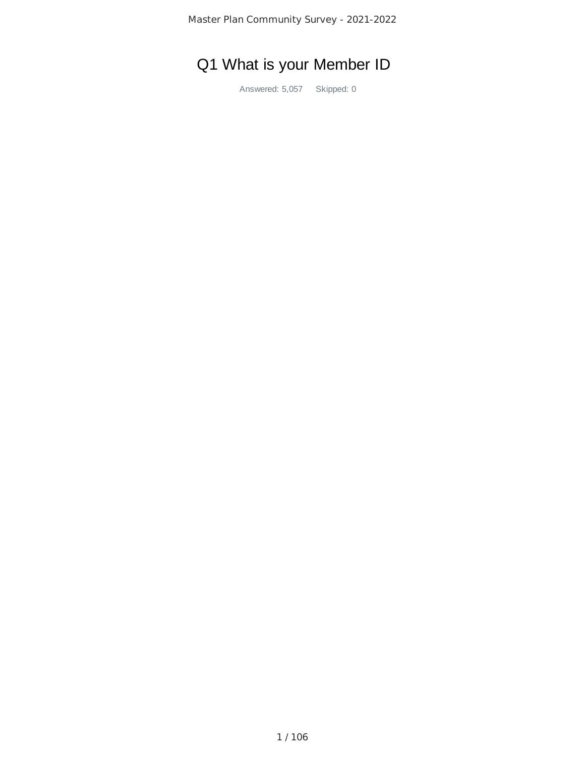# Q1 What is your Member ID

Answered: 5,057 Skipped: 0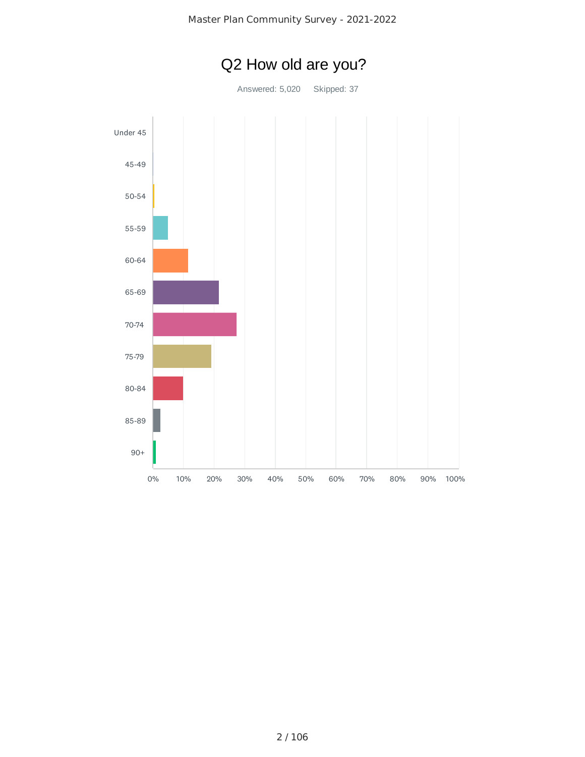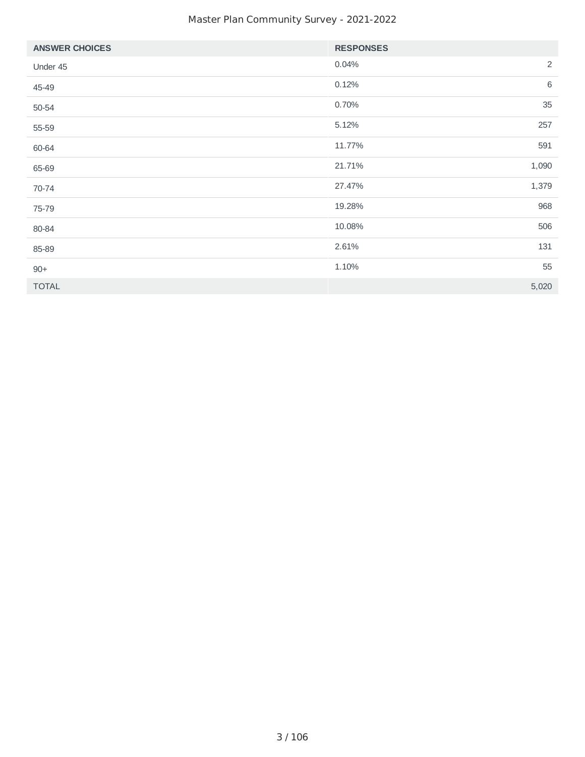| <b>ANSWER CHOICES</b> | <b>RESPONSES</b>        |
|-----------------------|-------------------------|
| Under 45              | $\overline{2}$<br>0.04% |
| 45-49                 | $\,6\,$<br>0.12%        |
| 50-54                 | 35<br>0.70%             |
| 55-59                 | 257<br>5.12%            |
| 60-64                 | 591<br>11.77%           |
| 65-69                 | 1,090<br>21.71%         |
| 70-74                 | 1,379<br>27.47%         |
| 75-79                 | 968<br>19.28%           |
| 80-84                 | 506<br>10.08%           |
| 85-89                 | 2.61%<br>131            |
| $90+$                 | 55<br>1.10%             |
| <b>TOTAL</b>          | 5,020                   |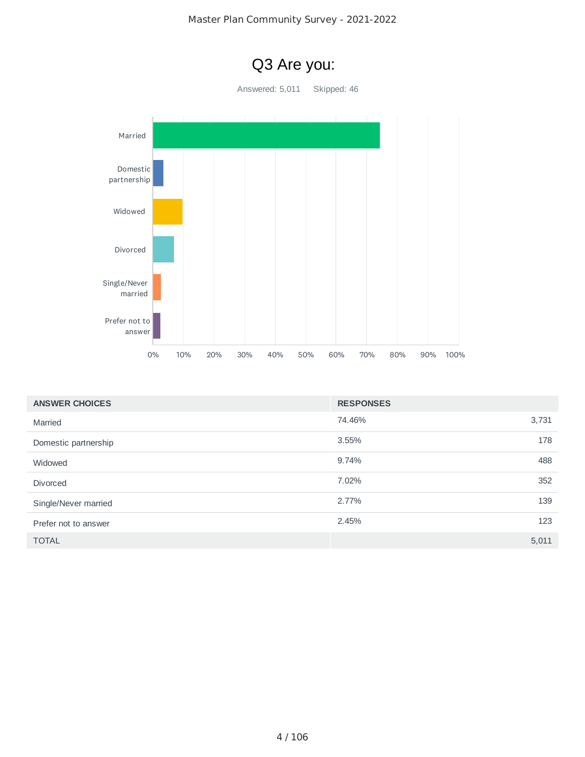

| <b>ANSWER CHOICES</b> | <b>RESPONSES</b> |       |
|-----------------------|------------------|-------|
| Married               | 74.46%           | 3,731 |
| Domestic partnership  | 3.55%            | 178   |
| Widowed               | 9.74%            | 488   |
| <b>Divorced</b>       | 7.02%            | 352   |
| Single/Never married  | 2.77%            | 139   |
| Prefer not to answer  | 2.45%            | 123   |
| <b>TOTAL</b>          |                  | 5,011 |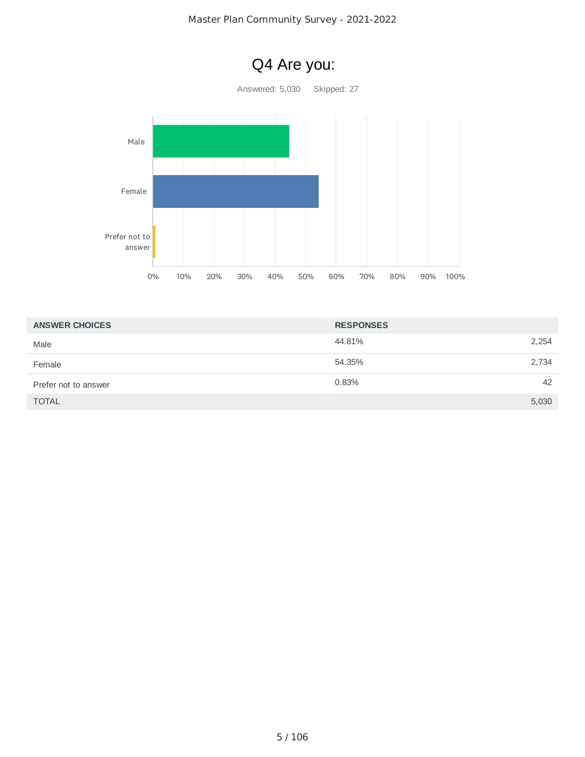

| <b>ANSWER CHOICES</b> | <b>RESPONSES</b> |       |
|-----------------------|------------------|-------|
| Male                  | 44.81%           | 2,254 |
| Female                | 54.35%           | 2,734 |
| Prefer not to answer  | 0.83%            | 42    |
| <b>TOTAL</b>          |                  | 5,030 |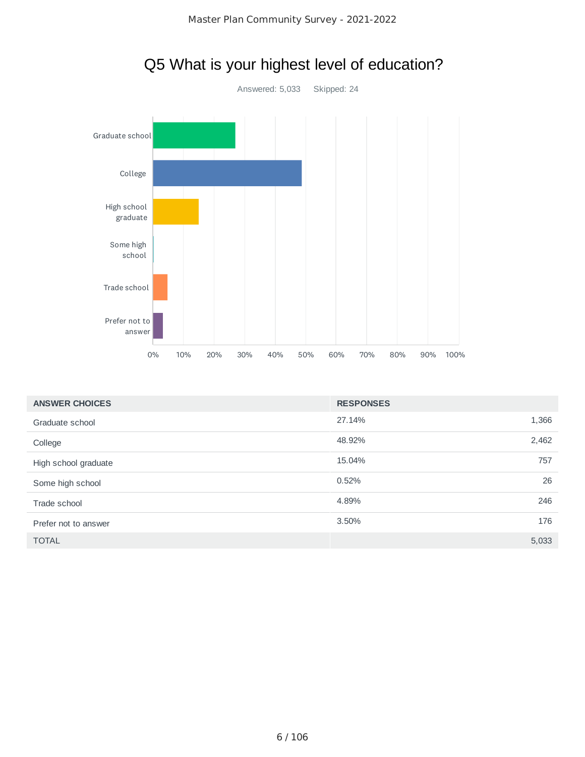

|                       | Prefer not to<br>answer |     |     |     |     |     |        |                  |     |     |      |  |       |
|-----------------------|-------------------------|-----|-----|-----|-----|-----|--------|------------------|-----|-----|------|--|-------|
|                       | $0\%$                   | 10% | 20% | 30% | 40% | 50% | 60%    | 70%              | 80% | 90% | 100% |  |       |
| <b>ANSWER CHOICES</b> |                         |     |     |     |     |     |        | <b>RESPONSES</b> |     |     |      |  |       |
| Graduate school       |                         |     |     |     |     |     | 27.14% |                  |     |     |      |  | 1,366 |
| College               |                         |     |     |     |     |     | 48.92% |                  |     |     |      |  | 2,462 |
| High school graduate  |                         |     |     |     |     |     | 15.04% |                  |     |     |      |  | 757   |
| Some high school      |                         |     |     |     |     |     | 0.52%  |                  |     |     |      |  | 26    |
| Trade school          |                         |     |     |     |     |     | 4.89%  |                  |     |     |      |  | 246   |
| Prefer not to answer  |                         |     |     |     |     |     | 3.50%  |                  |     |     |      |  | 176   |
| <b>TOTAL</b>          |                         |     |     |     |     |     |        |                  |     |     |      |  | 5,033 |

# Q5 What is your highest level of education?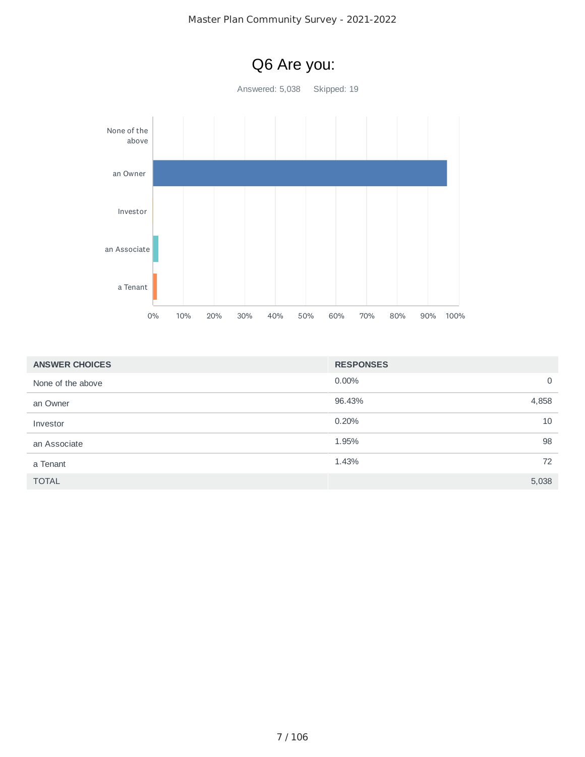

| <b>ANSWER CHOICES</b> | <b>RESPONSES</b> |       |
|-----------------------|------------------|-------|
| None of the above     | $0.00\%$         | 0     |
| an Owner              | 96.43%           | 4,858 |
| Investor              | 0.20%            | 10    |
| an Associate          | 1.95%            | 98    |
| a Tenant              | 1.43%            | 72    |
| <b>TOTAL</b>          |                  | 5,038 |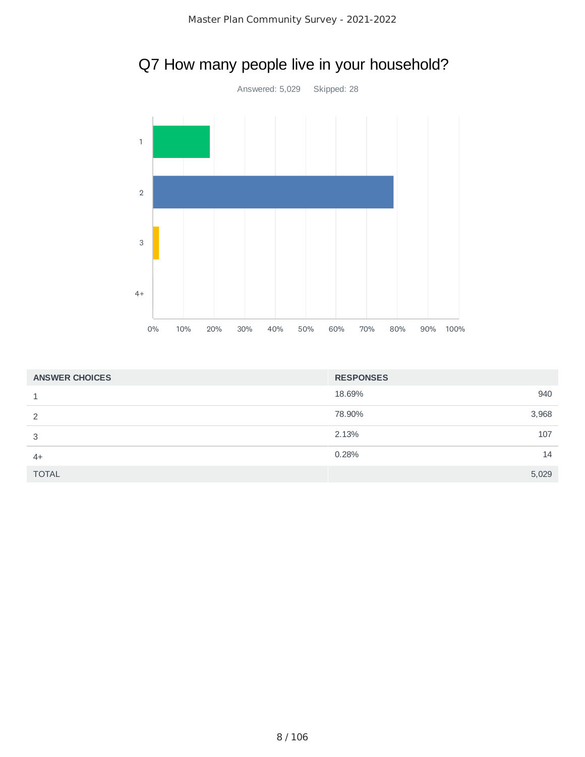

|  |  | Q7 How many people live in your household? |  |
|--|--|--------------------------------------------|--|
|--|--|--------------------------------------------|--|

| <b>ANSWER CHOICES</b> | <b>RESPONSES</b> |
|-----------------------|------------------|
| 1                     | 18.69%<br>940    |
| 2                     | 78.90%<br>3,968  |
| 3                     | 2.13%<br>107     |
| $4+$                  | 0.28%<br>14      |
| <b>TOTAL</b>          | 5,029            |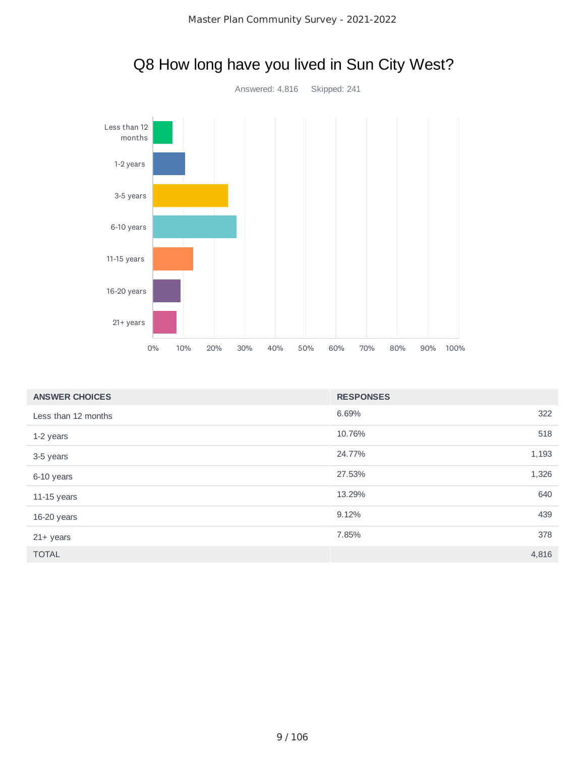

| <b>ANSWER CHOICES</b> | <b>RESPONSES</b> |       |
|-----------------------|------------------|-------|
| Less than 12 months   | 6.69%            | 322   |
| 1-2 years             | 10.76%           | 518   |
| 3-5 years             | 24.77%           | 1,193 |
| 6-10 years            | 27.53%           | 1,326 |
| 11-15 years           | 13.29%           | 640   |
| 16-20 years           | 9.12%            | 439   |
| $21+$ years           | 7.85%            | 378   |
| <b>TOTAL</b>          |                  | 4,816 |

## Q8 How long have you lived in Sun City West?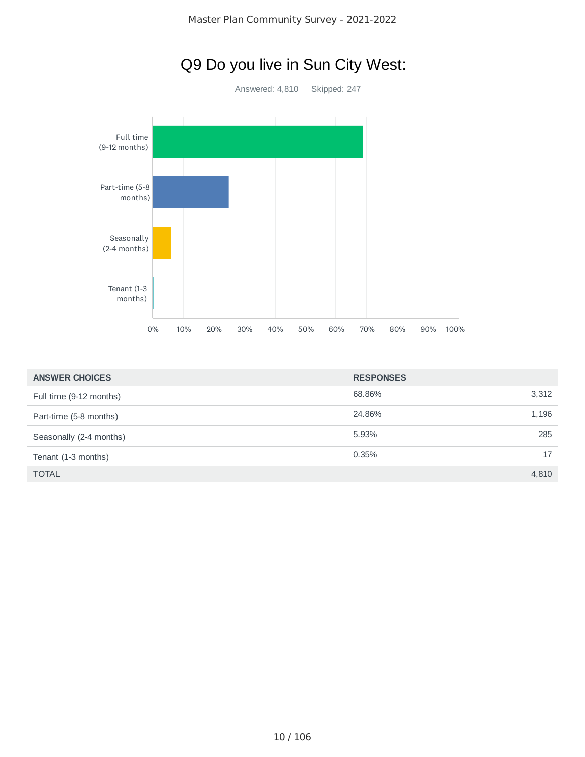

|  |  | Q9 Do you live in Sun City West: |
|--|--|----------------------------------|
|--|--|----------------------------------|

Answered: 4,810 Skipped: 247

| <b>ANSWER CHOICES</b>   | <b>RESPONSES</b> |    |
|-------------------------|------------------|----|
| Full time (9-12 months) | 3,312<br>68.86%  |    |
| Part-time (5-8 months)  | 24.86%<br>1,196  |    |
| Seasonally (2-4 months) | 5.93%<br>285     |    |
| Tenant (1-3 months)     | 0.35%            | 17 |
| <b>TOTAL</b>            | 4.810            |    |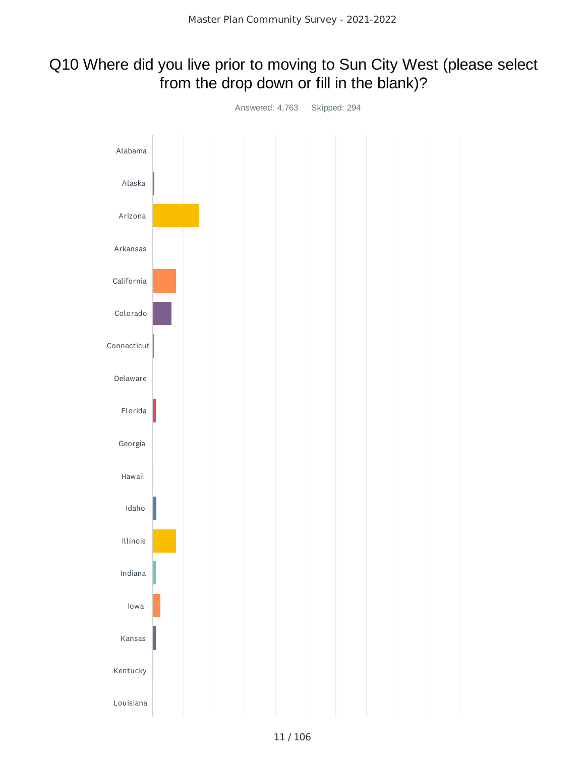### Q10 Where did you live prior to moving to Sun City West (please select from the drop down or fill in the blank)?

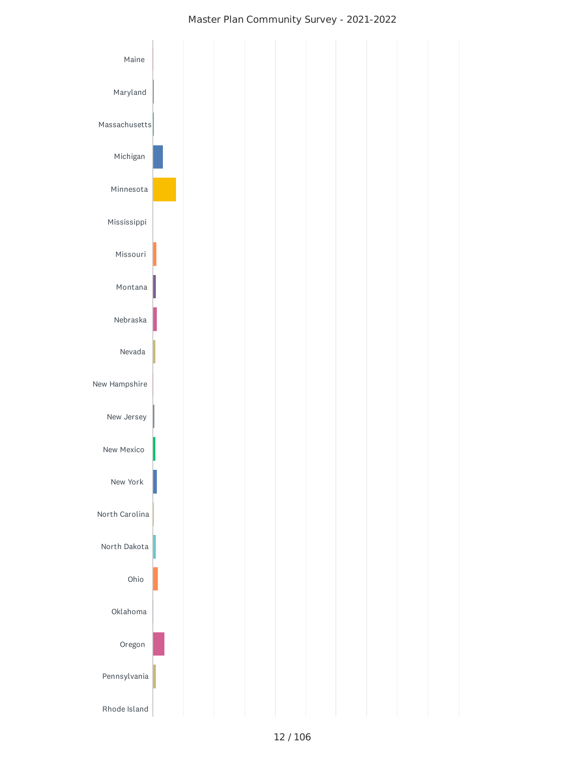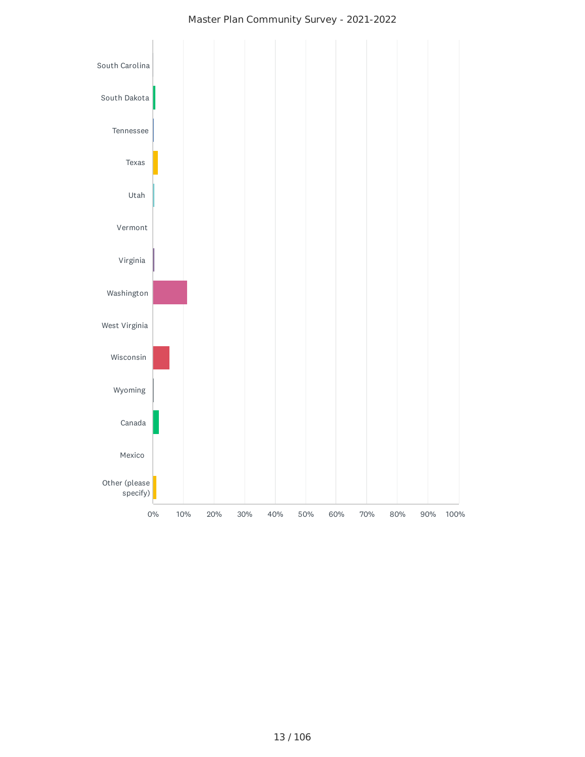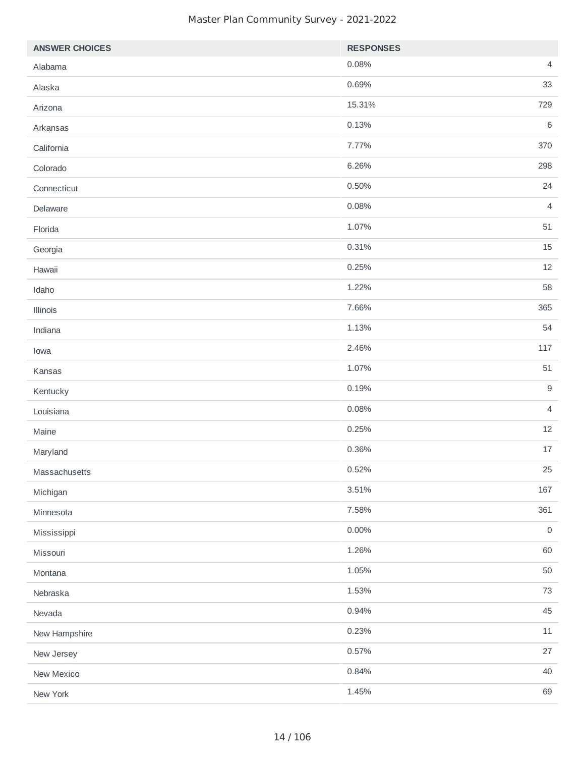| <b>ANSWER CHOICES</b> | <b>RESPONSES</b> |                     |
|-----------------------|------------------|---------------------|
| Alabama               | 0.08%            | $\overline{4}$      |
| Alaska                | 0.69%            | 33                  |
| Arizona               | 15.31%           | 729                 |
| Arkansas              | 0.13%            | 6                   |
| California            | 7.77%            | 370                 |
| Colorado              | 6.26%            | 298                 |
| Connecticut           | 0.50%            | 24                  |
| Delaware              | 0.08%            | 4                   |
| Florida               | 1.07%            | $51\,$              |
| Georgia               | 0.31%            | 15                  |
| Hawaii                | 0.25%            | 12                  |
| Idaho                 | 1.22%            | 58                  |
| Illinois              | 7.66%            | 365                 |
| Indiana               | 1.13%            | 54                  |
| Iowa                  | 2.46%            | 117                 |
| Kansas                | 1.07%            | $51\,$              |
| Kentucky              | 0.19%            | 9                   |
| Louisiana             | 0.08%            | $\overline{4}$      |
| Maine                 | 0.25%            | 12                  |
| Maryland              | 0.36%            | 17                  |
| Massachusetts         | 0.52%            | 25                  |
| Michigan              | 3.51%            | 167                 |
| Minnesota             | 7.58%            | 361                 |
| Mississippi           | $0.00\%$         | $\mathsf{O}\xspace$ |
| Missouri              | 1.26%            | 60                  |
| Montana               | 1.05%            | 50                  |
| Nebraska              | 1.53%            | 73                  |
| Nevada                | 0.94%            | 45                  |
| New Hampshire         | 0.23%            | 11                  |
| New Jersey            | 0.57%            | 27                  |
| New Mexico            | 0.84%            | 40                  |
| New York              | 1.45%            | 69                  |
|                       |                  |                     |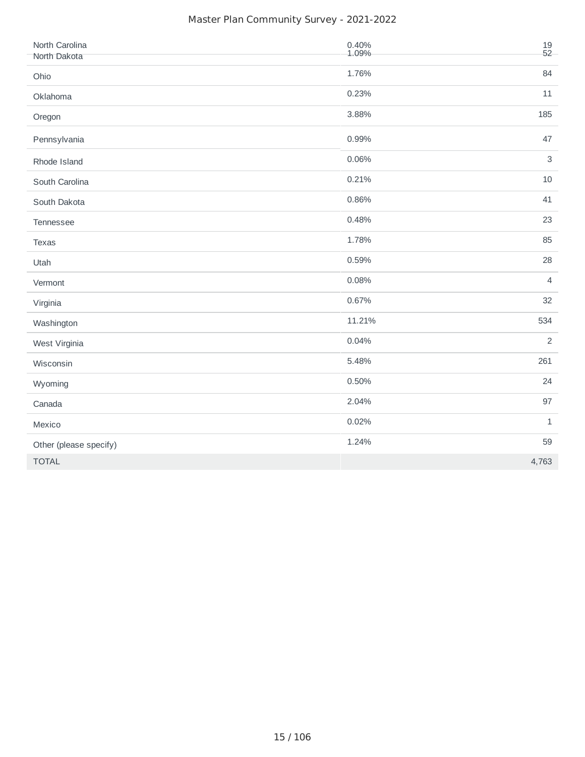| North Carolina<br>North Dakota | 0.40%<br>1.09% | $\frac{19}{52}$           |
|--------------------------------|----------------|---------------------------|
| Ohio                           | 1.76%          | 84                        |
| Oklahoma                       | 0.23%          | $11\,$                    |
| Oregon                         | 3.88%          | 185                       |
| Pennsylvania                   | 0.99%          | 47                        |
| Rhode Island                   | 0.06%          | $\ensuremath{\mathsf{3}}$ |
| South Carolina                 | 0.21%          | $10\,$                    |
| South Dakota                   | 0.86%          | 41                        |
| Tennessee                      | 0.48%          | 23                        |
| Texas                          | 1.78%          | 85                        |
| Utah                           | 0.59%          | 28                        |
| Vermont                        | 0.08%          | $\overline{4}$            |
| Virginia                       | 0.67%          | 32                        |
| Washington                     | 11.21%         | 534                       |
| West Virginia                  | 0.04%          | $\overline{2}$            |
| Wisconsin                      | 5.48%          | 261                       |
| Wyoming                        | 0.50%          | 24                        |
| Canada                         | 2.04%          | 97                        |
| Mexico                         | 0.02%          | $1\,$                     |
| Other (please specify)         | 1.24%          | 59                        |
| <b>TOTAL</b>                   |                | 4,763                     |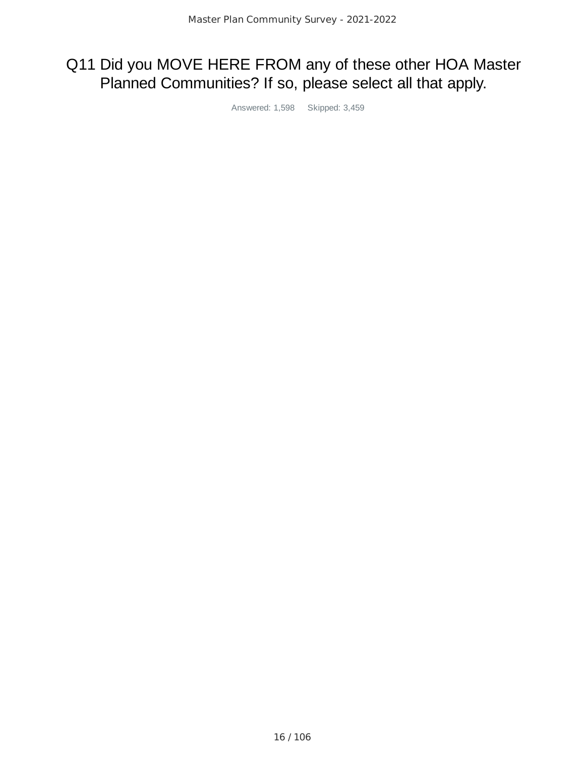## Q11 Did you MOVE HERE FROM any of these other HOA Master Planned Communities? If so, please select all that apply.

Answered: 1,598 Skipped: 3,459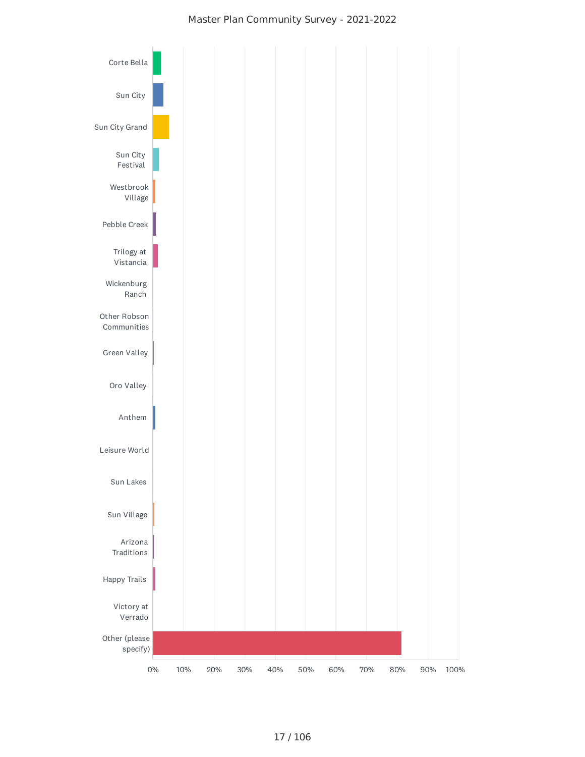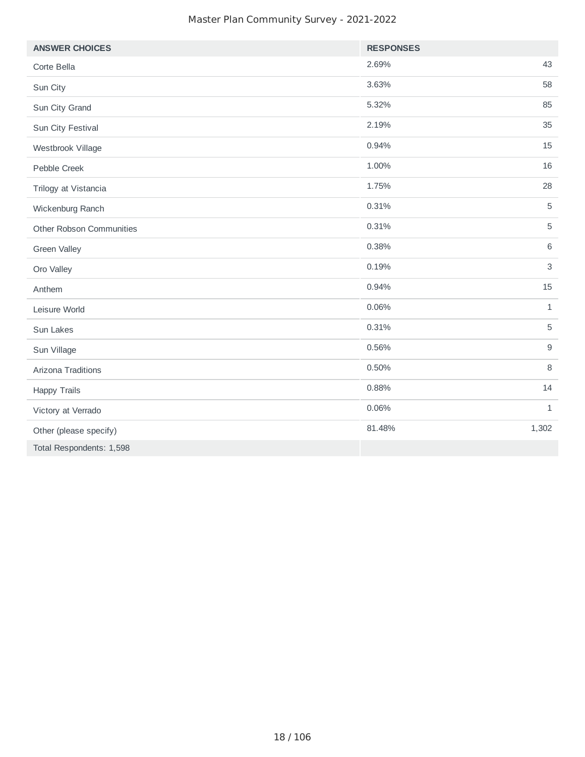| <b>ANSWER CHOICES</b>    | <b>RESPONSES</b> |                |
|--------------------------|------------------|----------------|
| Corte Bella              | 2.69%            | 43             |
| Sun City                 | 3.63%            | 58             |
| Sun City Grand           | 5.32%            | 85             |
| Sun City Festival        | 2.19%            | 35             |
| Westbrook Village        | 0.94%            | 15             |
| Pebble Creek             | 1.00%            | 16             |
| Trilogy at Vistancia     | 1.75%            | 28             |
| Wickenburg Ranch         | 0.31%            | 5              |
| Other Robson Communities | 0.31%            | 5              |
| Green Valley             | 0.38%            | 6              |
| Oro Valley               | 0.19%            | 3              |
| Anthem                   | 0.94%            | 15             |
| Leisure World            | 0.06%            | $\mathbf{1}$   |
| Sun Lakes                | 0.31%            | $\overline{5}$ |
| Sun Village              | 0.56%            | $9$            |
| Arizona Traditions       | 0.50%            | 8              |
| <b>Happy Trails</b>      | 0.88%            | 14             |
| Victory at Verrado       | 0.06%            | $\mathbf{1}$   |
| Other (please specify)   | 81.48%<br>1,302  |                |
| Total Respondents: 1,598 |                  |                |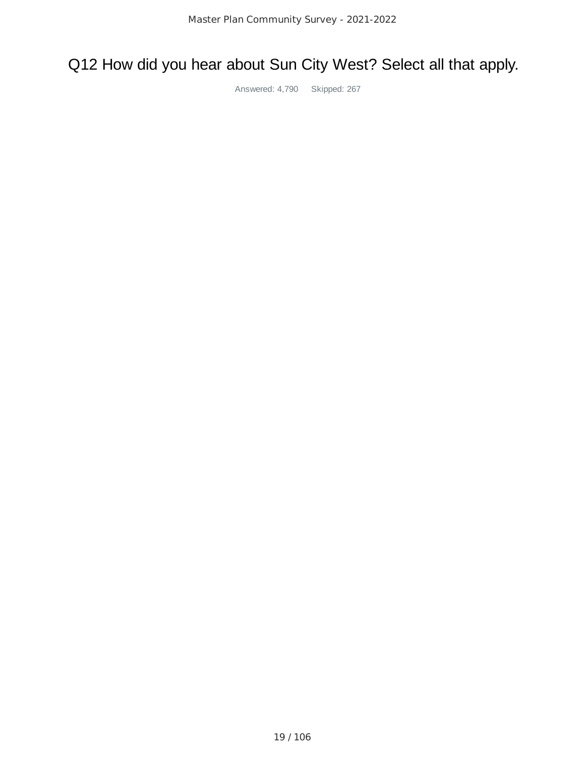# Q12 How did you hear about Sun City West? Select all that apply.

Answered: 4,790 Skipped: 267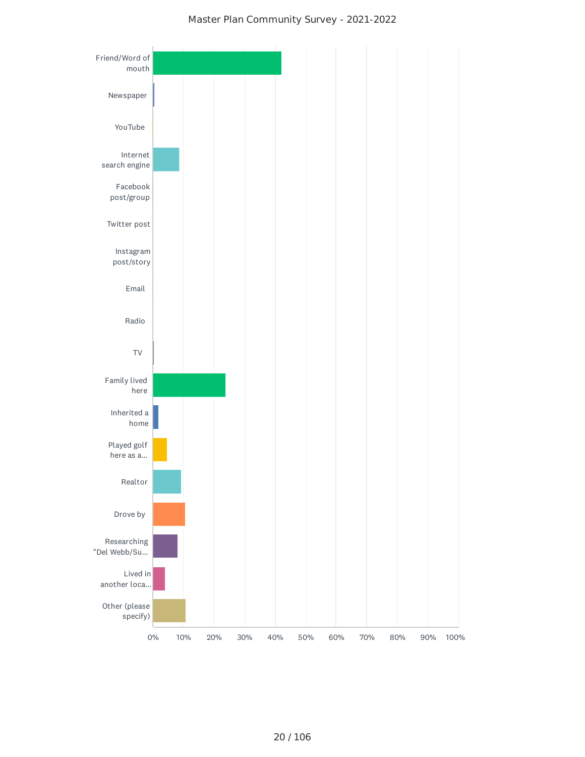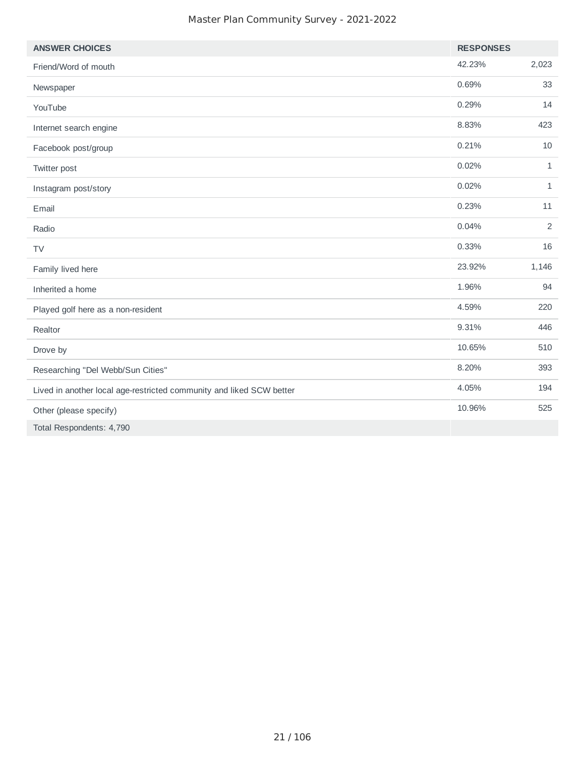| <b>ANSWER CHOICES</b>                                                | <b>RESPONSES</b> |              |
|----------------------------------------------------------------------|------------------|--------------|
| Friend/Word of mouth                                                 | 42.23%           | 2,023        |
| Newspaper                                                            | 0.69%            | 33           |
| YouTube                                                              | 0.29%            | 14           |
| Internet search engine                                               | 8.83%            | 423          |
| Facebook post/group                                                  | 0.21%            | 10           |
| Twitter post                                                         | 0.02%            | 1            |
| Instagram post/story                                                 | 0.02%            | $\mathbf{1}$ |
| Email                                                                | 0.23%            | 11           |
| Radio                                                                | 0.04%            | 2            |
| TV                                                                   | 0.33%            | 16           |
| Family lived here                                                    | 23.92%           | 1,146        |
| Inherited a home                                                     | 1.96%            | 94           |
| Played golf here as a non-resident                                   | 4.59%            | 220          |
| Realtor                                                              | 9.31%            | 446          |
| Drove by                                                             | 10.65%           | 510          |
| Researching "Del Webb/Sun Cities"                                    | 8.20%            | 393          |
| Lived in another local age-restricted community and liked SCW better | 4.05%            | 194          |
| Other (please specify)                                               | 10.96%           | 525          |
| Total Respondents: 4,790                                             |                  |              |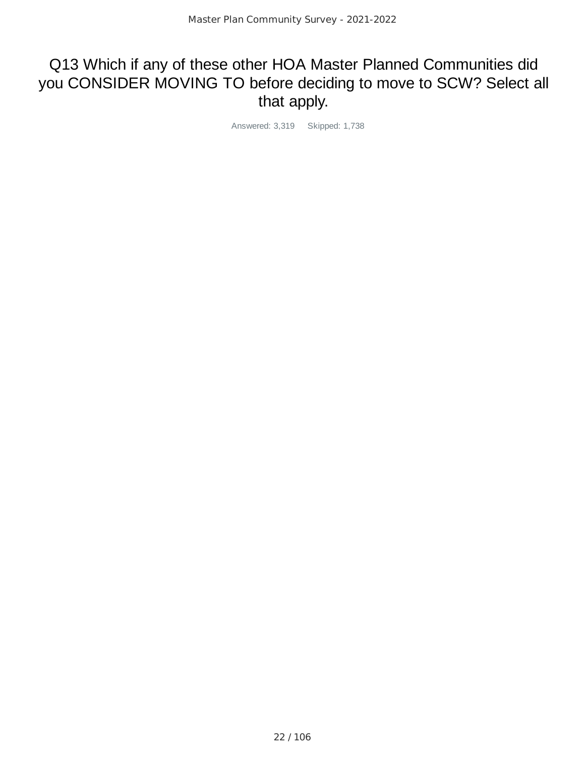### Q13 Which if any of these other HOA Master Planned Communities did you CONSIDER MOVING TO before deciding to move to SCW? Select all that apply.

Answered: 3,319 Skipped: 1,738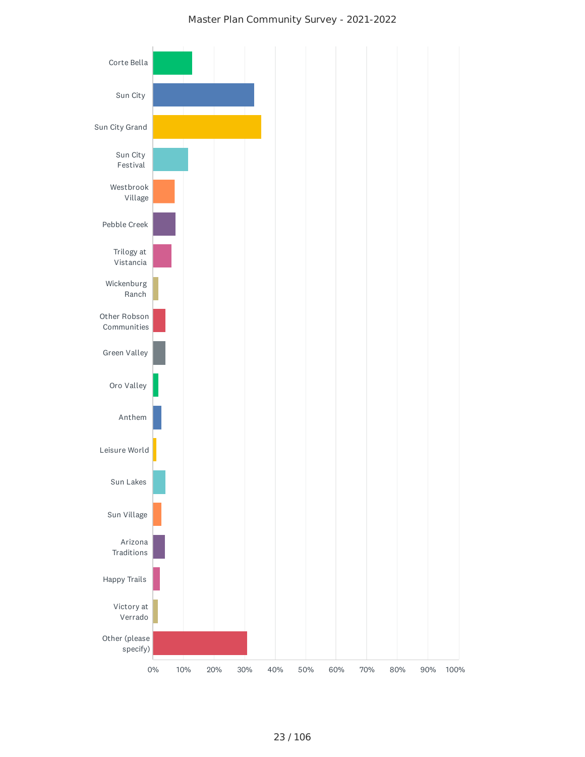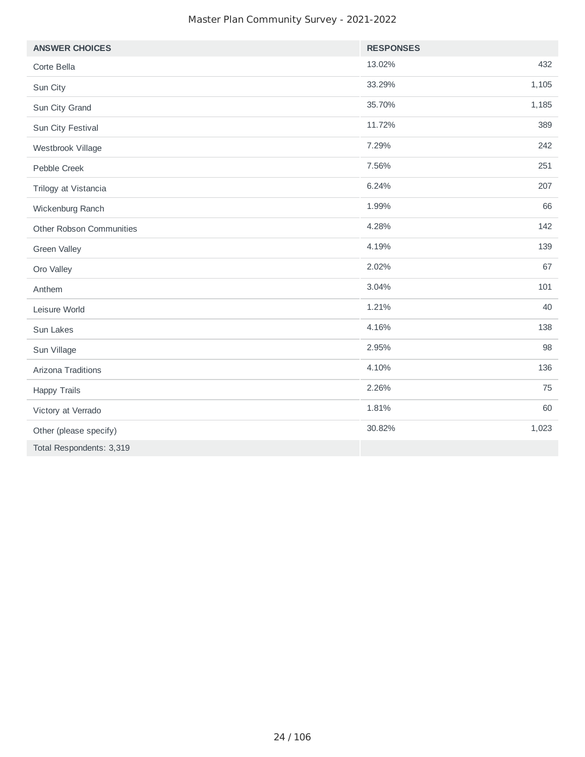| <b>ANSWER CHOICES</b>    | <b>RESPONSES</b> |       |
|--------------------------|------------------|-------|
| Corte Bella              | 13.02%           | 432   |
| Sun City                 | 33.29%           | 1,105 |
| Sun City Grand           | 35.70%           | 1,185 |
| Sun City Festival        | 11.72%           | 389   |
| Westbrook Village        | 7.29%            | 242   |
| Pebble Creek             | 7.56%            | 251   |
| Trilogy at Vistancia     | 6.24%            | 207   |
| Wickenburg Ranch         | 1.99%            | 66    |
| Other Robson Communities | 4.28%            | 142   |
| Green Valley             | 4.19%            | 139   |
| Oro Valley               | 2.02%            | 67    |
| Anthem                   | 3.04%            | 101   |
| Leisure World            | 1.21%            | 40    |
| Sun Lakes                | 4.16%            | 138   |
| Sun Village              | 2.95%            | 98    |
| Arizona Traditions       | 4.10%            | 136   |
| <b>Happy Trails</b>      | 2.26%            | 75    |
| Victory at Verrado       | 1.81%            | 60    |
| Other (please specify)   | 30.82%           | 1,023 |
| Total Respondents: 3,319 |                  |       |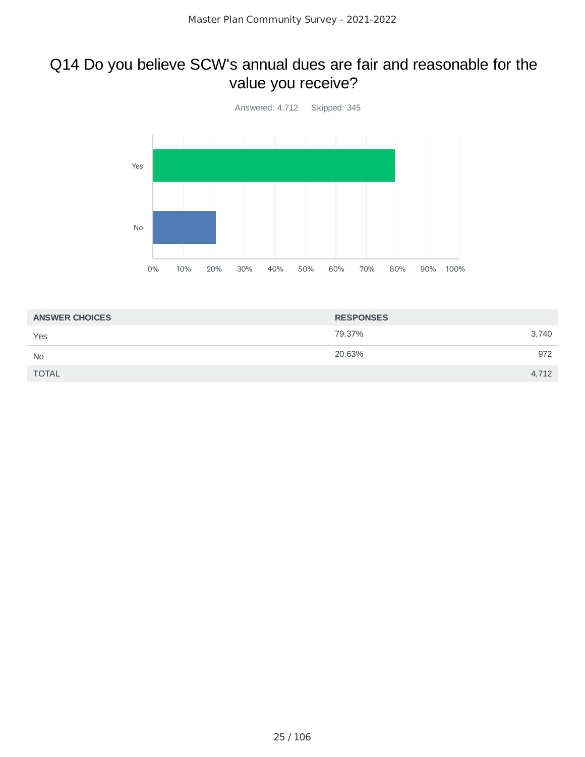### Q14 Do you believe SCW's annual dues are fair and reasonable for the value you receive?



| <b>RESPONSES</b> |
|------------------|
| 79.37%<br>3,740  |
| 20.63%<br>972    |
| 4,712            |
|                  |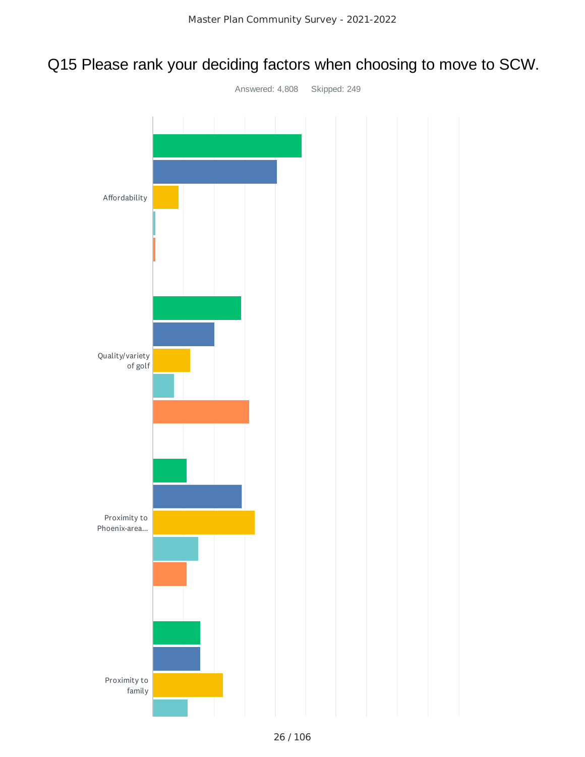## Q15 Please rank your deciding factors when choosing to move to SCW.

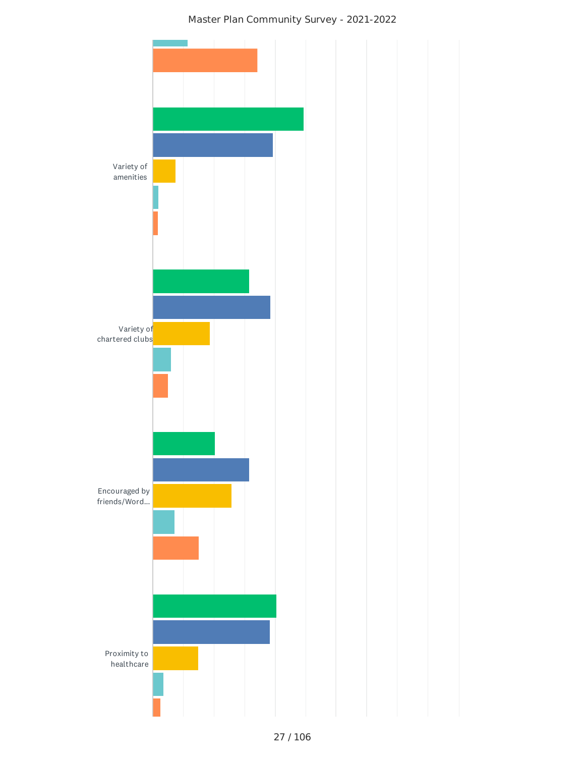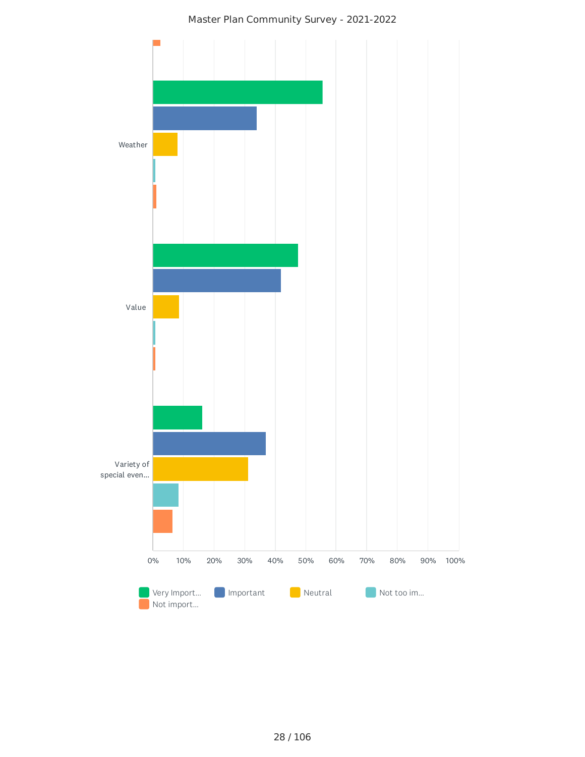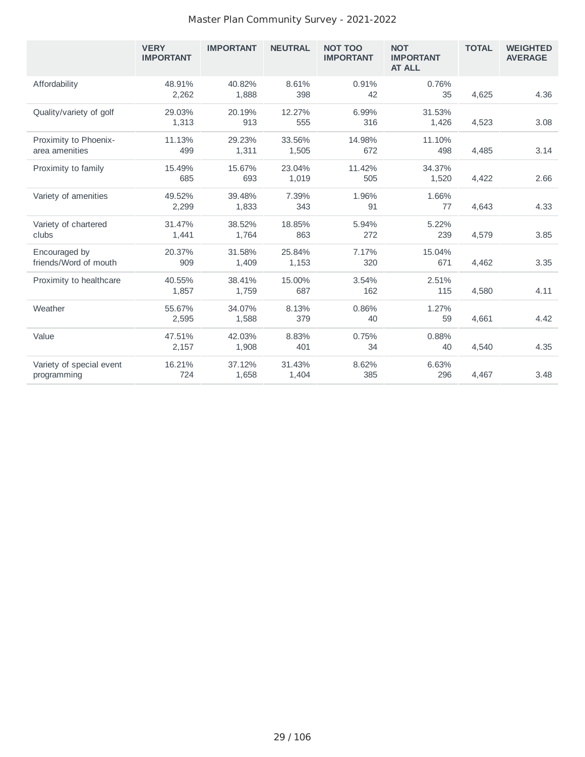|                                         | <b>VERY</b><br><b>IMPORTANT</b> | <b>IMPORTANT</b> | <b>NEUTRAL</b>  | <b>NOT TOO</b><br><b>IMPORTANT</b> | <b>NOT</b><br><b>IMPORTANT</b><br><b>AT ALL</b> | <b>TOTAL</b> | <b>WEIGHTED</b><br><b>AVERAGE</b> |
|-----------------------------------------|---------------------------------|------------------|-----------------|------------------------------------|-------------------------------------------------|--------------|-----------------------------------|
| Affordability                           | 48.91%<br>2,262                 | 40.82%<br>1,888  | 8.61%<br>398    | 0.91%<br>42                        | 0.76%<br>35                                     | 4,625        | 4.36                              |
| Quality/variety of golf                 | 29.03%<br>1,313                 | 20.19%<br>913    | 12.27%<br>555   | 6.99%<br>316                       | 31.53%<br>1,426                                 | 4,523        | 3.08                              |
| Proximity to Phoenix-<br>area amenities | 11.13%<br>499                   | 29.23%<br>1,311  | 33.56%<br>1,505 | 14.98%<br>672                      | 11.10%<br>498                                   | 4,485        | 3.14                              |
| Proximity to family                     | 15.49%<br>685                   | 15.67%<br>693    | 23.04%<br>1,019 | 11.42%<br>505                      | 34.37%<br>1,520                                 | 4,422        | 2.66                              |
| Variety of amenities                    | 49.52%<br>2,299                 | 39.48%<br>1,833  | 7.39%<br>343    | 1.96%<br>91                        | 1.66%<br>77                                     | 4,643        | 4.33                              |
| Variety of chartered<br>clubs           | 31.47%<br>1,441                 | 38.52%<br>1,764  | 18.85%<br>863   | 5.94%<br>272                       | 5.22%<br>239                                    | 4,579        | 3.85                              |
| Encouraged by<br>friends/Word of mouth  | 20.37%<br>909                   | 31.58%<br>1,409  | 25.84%<br>1,153 | 7.17%<br>320                       | 15.04%<br>671                                   | 4,462        | 3.35                              |
| Proximity to healthcare                 | 40.55%<br>1,857                 | 38.41%<br>1,759  | 15.00%<br>687   | 3.54%<br>162                       | 2.51%<br>115                                    | 4,580        | 4.11                              |
| Weather                                 | 55.67%<br>2,595                 | 34.07%<br>1,588  | 8.13%<br>379    | 0.86%<br>40                        | 1.27%<br>59                                     | 4,661        | 4.42                              |
| Value                                   | 47.51%<br>2,157                 | 42.03%<br>1,908  | 8.83%<br>401    | 0.75%<br>34                        | 0.88%<br>40                                     | 4,540        | 4.35                              |
| Variety of special event<br>programming | 16.21%<br>724                   | 37.12%<br>1,658  | 31.43%<br>1,404 | 8.62%<br>385                       | 6.63%<br>296                                    | 4,467        | 3.48                              |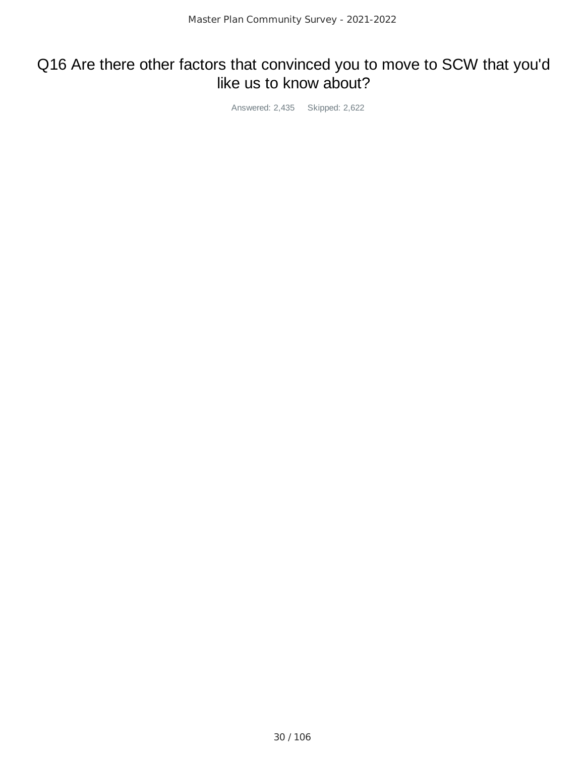### Q16 Are there other factors that convinced you to move to SCW that you'd like us to know about?

Answered: 2,435 Skipped: 2,622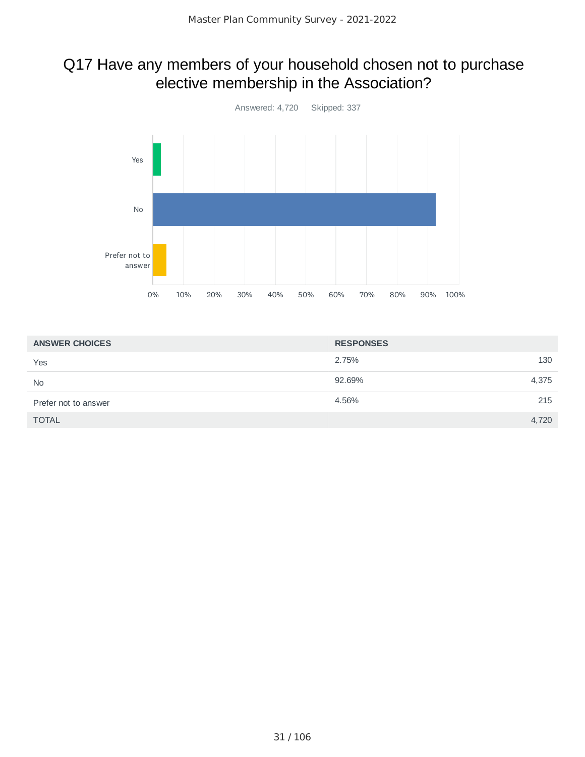## Q17 Have any members of your household chosen not to purchase elective membership in the Association?



| <b>ANSWER CHOICES</b> | <b>RESPONSES</b> |     |
|-----------------------|------------------|-----|
| Yes                   | 2.75%            | 130 |
| <b>No</b>             | 92.69%<br>4,375  |     |
| Prefer not to answer  | 4.56%            | 215 |
| <b>TOTAL</b>          | 4,720            |     |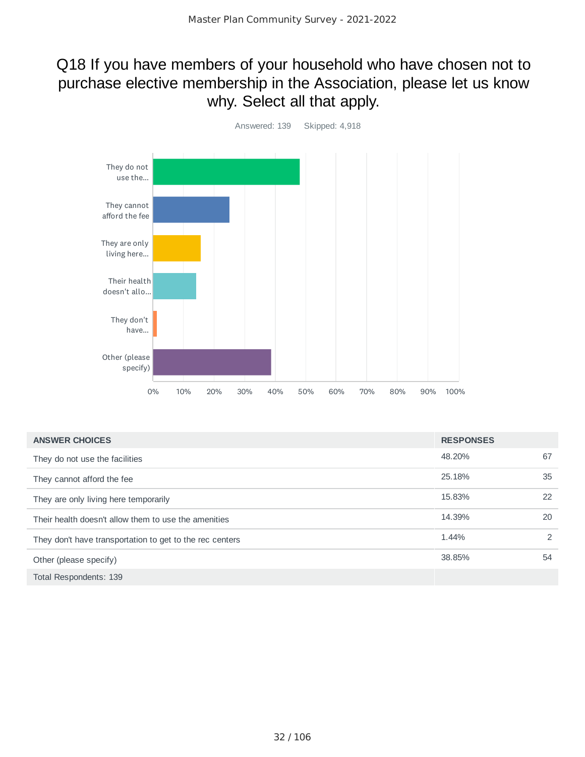### Q18 If you have members of your household who have chosen not to purchase elective membership in the Association, please let us know why. Select all that apply.



| <b>ANSWER CHOICES</b>                                    | <b>RESPONSES</b> |    |
|----------------------------------------------------------|------------------|----|
| They do not use the facilities                           | 48.20%           | 67 |
| They cannot afford the fee                               | 25.18%           | 35 |
| They are only living here temporarily                    | 15.83%           | 22 |
| Their health doesn't allow them to use the amenities     | 14.39%           | 20 |
| They don't have transportation to get to the rec centers | 1.44%            | 2  |
| Other (please specify)                                   | 38.85%           | 54 |
| Total Respondents: 139                                   |                  |    |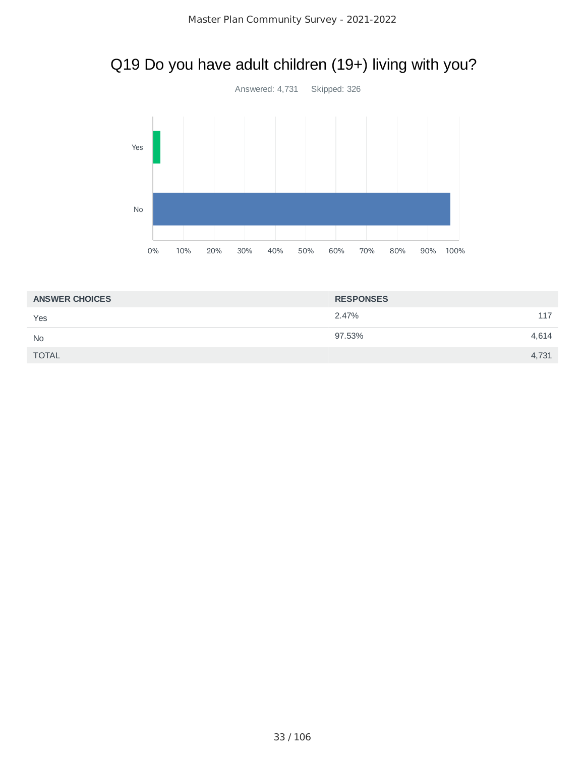# Q19 Do you have adult children (19+) living with you?



| <b>ANSWER CHOICES</b> | <b>RESPONSES</b> |
|-----------------------|------------------|
| Yes                   | 2.47%<br>117     |
| <b>No</b>             | 97.53%<br>4,614  |
| <b>TOTAL</b>          | 4,731            |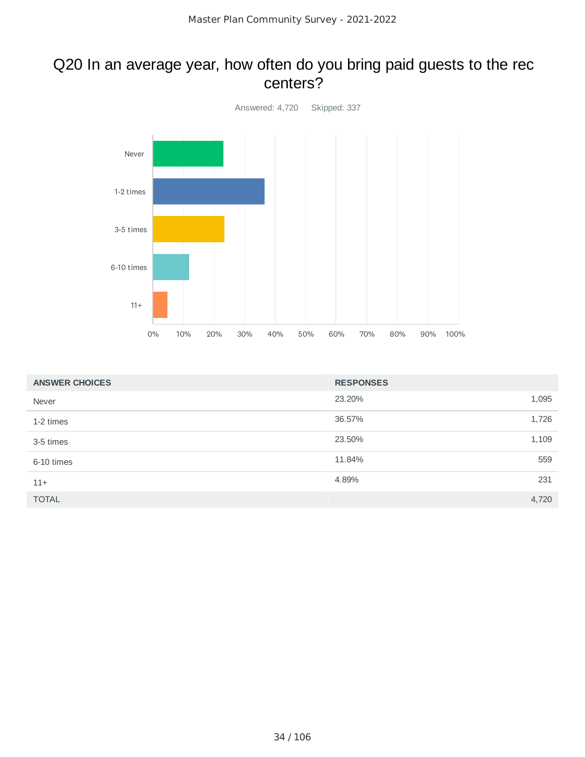### Q20 In an average year, how often do you bring paid guests to the rec centers?



| <b>ANSWER CHOICES</b> | <b>RESPONSES</b> |       |
|-----------------------|------------------|-------|
| Never                 | 23.20%           | 1,095 |
| 1-2 times             | 36.57%           | 1,726 |
| 3-5 times             | 23.50%           | 1,109 |
| 6-10 times            | 11.84%           | 559   |
| $11+$                 | 4.89%            | 231   |
| <b>TOTAL</b>          |                  | 4,720 |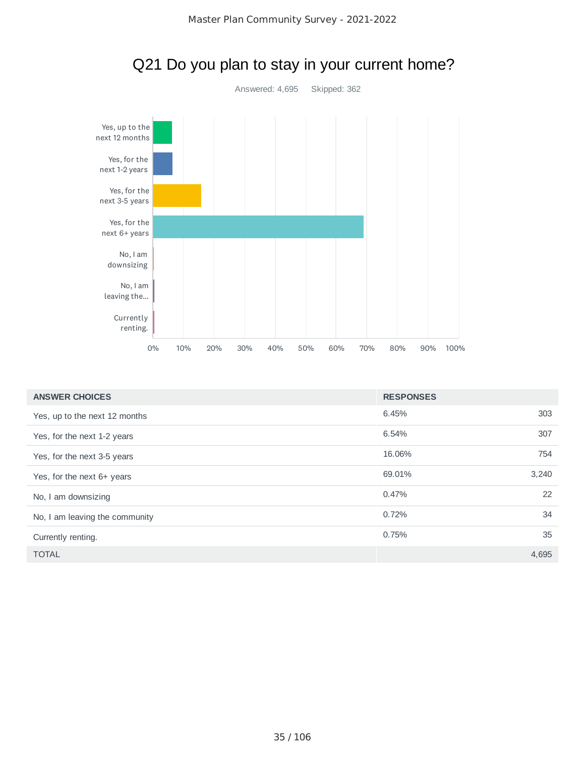

|  | Q21 Do you plan to stay in your current home? |  |
|--|-----------------------------------------------|--|
|--|-----------------------------------------------|--|

| <b>ANSWER CHOICES</b>          | <b>RESPONSES</b> |       |
|--------------------------------|------------------|-------|
| Yes, up to the next 12 months  | 6.45%            | 303   |
| Yes, for the next 1-2 years    | 6.54%            | 307   |
| Yes, for the next 3-5 years    | 16.06%           | 754   |
| Yes, for the next 6+ years     | 69.01%           | 3,240 |
| No, I am downsizing            | 0.47%            | 22    |
| No, I am leaving the community | 0.72%            | 34    |
| Currently renting.             | 0.75%            | 35    |
| <b>TOTAL</b>                   |                  | 4,695 |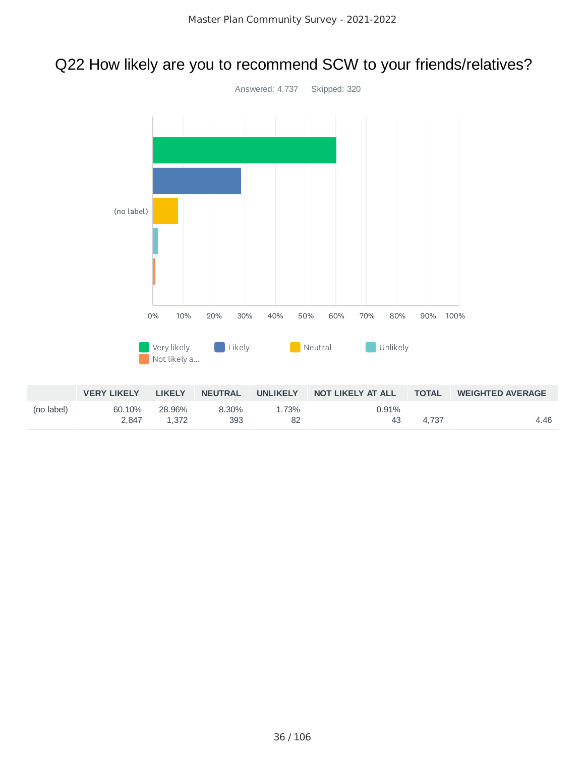### Q22 How likely are you to recommend SCW to your friends/relatives?

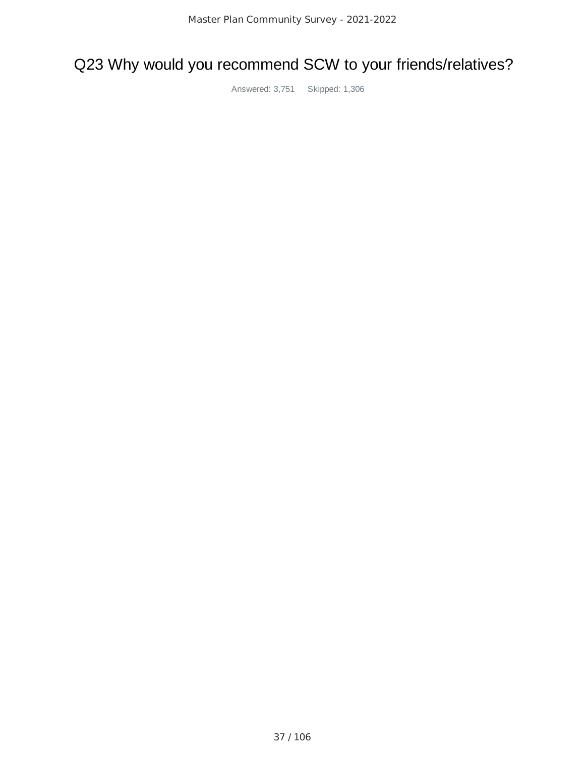### Q23 Why would you recommend SCW to your friends/relatives?

Answered: 3,751 Skipped: 1,306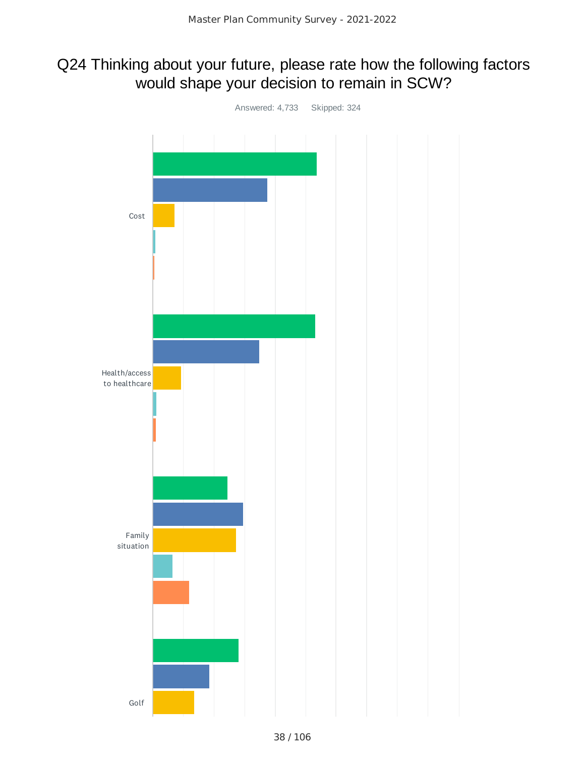### Q24 Thinking about your future, please rate how the following factors would shape your decision to remain in SCW?

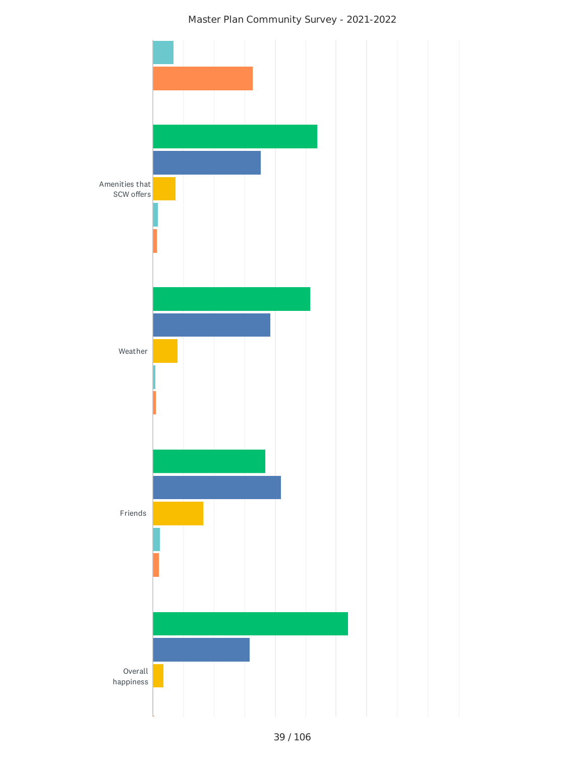#### Master Plan Community Survey - 2021-2022

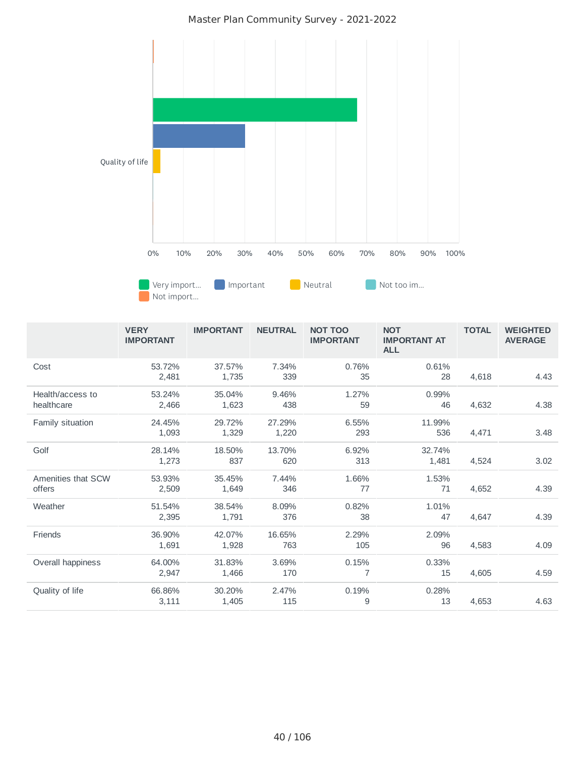#### Master Plan Community Survey - 2021-2022



|                                | <b>VERY</b><br><b>IMPORTANT</b> | <b>IMPORTANT</b> | <b>NEUTRAL</b>  | <b>NOT TOO</b><br><b>IMPORTANT</b> | <b>NOT</b><br><b>IMPORTANT AT</b><br><b>ALL</b> | <b>TOTAL</b> | <b>WEIGHTED</b><br><b>AVERAGE</b> |
|--------------------------------|---------------------------------|------------------|-----------------|------------------------------------|-------------------------------------------------|--------------|-----------------------------------|
| Cost                           | 53.72%<br>2,481                 | 37.57%<br>1,735  | 7.34%<br>339    | 0.76%<br>35                        | 0.61%<br>28                                     | 4,618        | 4.43                              |
| Health/access to<br>healthcare | 53.24%<br>2,466                 | 35.04%<br>1,623  | 9.46%<br>438    | 1.27%<br>59                        | 0.99%<br>46                                     | 4,632        | 4.38                              |
| Family situation               | 24.45%<br>1,093                 | 29.72%<br>1,329  | 27.29%<br>1,220 | 6.55%<br>293                       | 11.99%<br>536                                   | 4,471        | 3.48                              |
| Golf                           | 28.14%<br>1,273                 | 18.50%<br>837    | 13.70%<br>620   | 6.92%<br>313                       | 32.74%<br>1.481                                 | 4,524        | 3.02                              |
| Amenities that SCW<br>offers   | 53.93%<br>2,509                 | 35.45%<br>1,649  | 7.44%<br>346    | 1.66%<br>77                        | 1.53%<br>71                                     | 4,652        | 4.39                              |
| Weather                        | 51.54%<br>2,395                 | 38.54%<br>1,791  | 8.09%<br>376    | 0.82%<br>38                        | 1.01%<br>47                                     | 4,647        | 4.39                              |
| Friends                        | 36.90%<br>1,691                 | 42.07%<br>1,928  | 16.65%<br>763   | 2.29%<br>105                       | 2.09%<br>96                                     | 4,583        | 4.09                              |
| Overall happiness              | 64.00%<br>2,947                 | 31.83%<br>1,466  | 3.69%<br>170    | 0.15%<br>$\overline{7}$            | 0.33%<br>15                                     | 4,605        | 4.59                              |
| Quality of life                | 66.86%<br>3,111                 | 30.20%<br>1,405  | 2.47%<br>115    | 0.19%<br>9                         | 0.28%<br>13                                     | 4,653        | 4.63                              |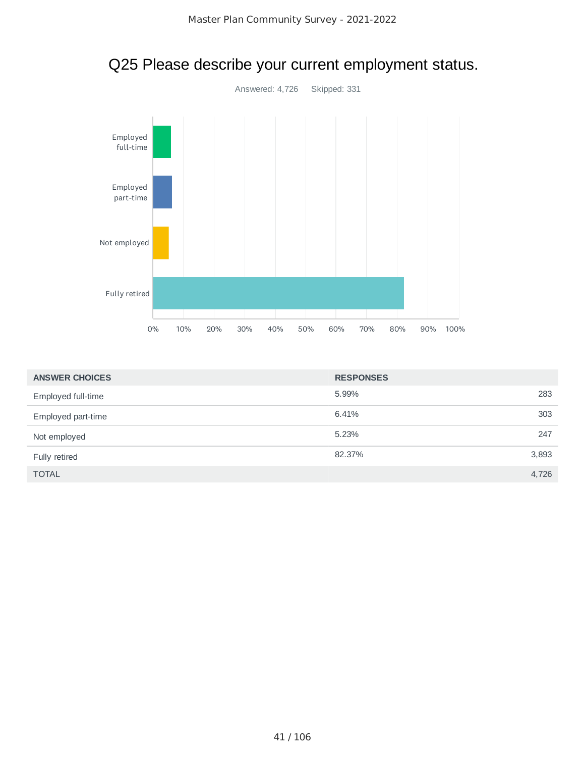

| Q25 Please describe your current employment status. |  |  |  |
|-----------------------------------------------------|--|--|--|
|-----------------------------------------------------|--|--|--|

| <b>ANSWER CHOICES</b> | <b>RESPONSES</b> |
|-----------------------|------------------|
| Employed full-time    | 5.99%<br>283     |
| Employed part-time    | 6.41%<br>303     |
| Not employed          | 247<br>5.23%     |
| Fully retired         | 3,893<br>82.37%  |
| <b>TOTAL</b>          | 4,726            |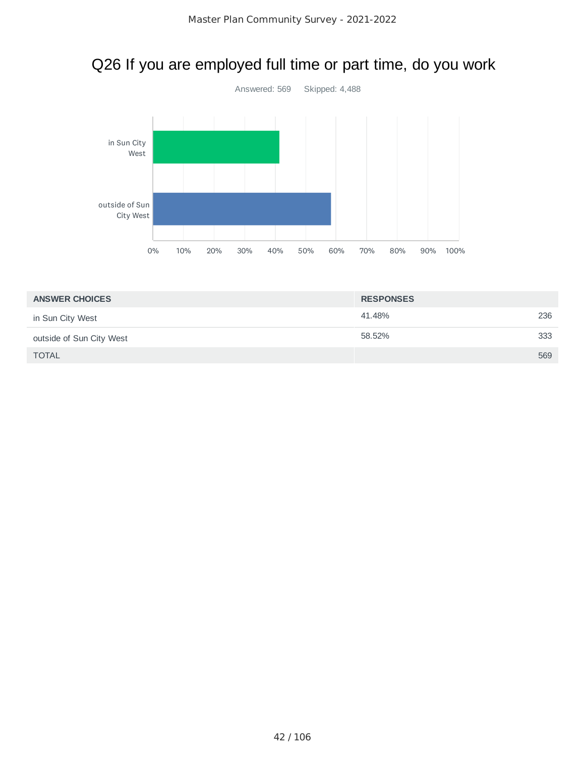## Q26 If you are employed full time or part time, do you work



| <b>ANSWER CHOICES</b>    | <b>RESPONSES</b> |     |
|--------------------------|------------------|-----|
| in Sun City West         | 41.48%           | 236 |
| outside of Sun City West | 58.52%           | 333 |
| <b>TOTAL</b>             |                  | 569 |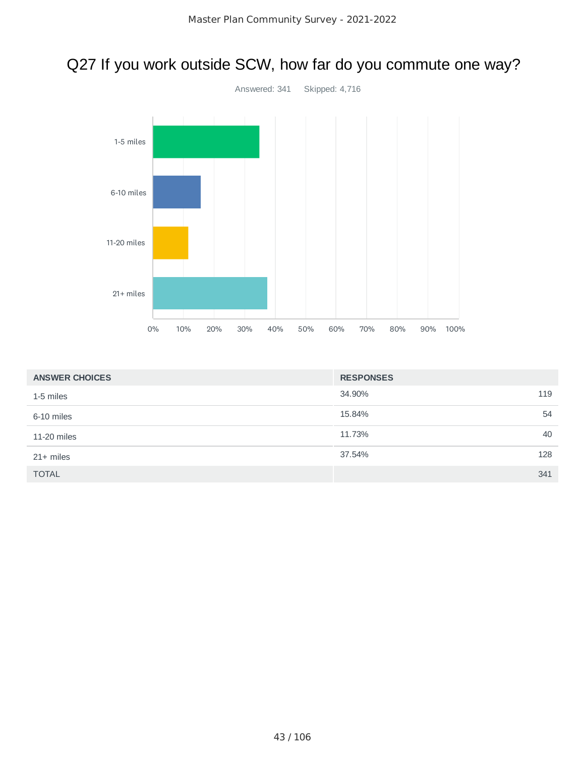### Q27 If you work outside SCW, how far do you commute one way?



| <b>ANSWER CHOICES</b> | <b>RESPONSES</b> |     |
|-----------------------|------------------|-----|
| 1-5 miles             | 34.90%           | 119 |
| 6-10 miles            | 15.84%           | 54  |
| 11-20 miles           | 11.73%           | 40  |
| $21+$ miles           | 37.54%           | 128 |
| <b>TOTAL</b>          |                  | 341 |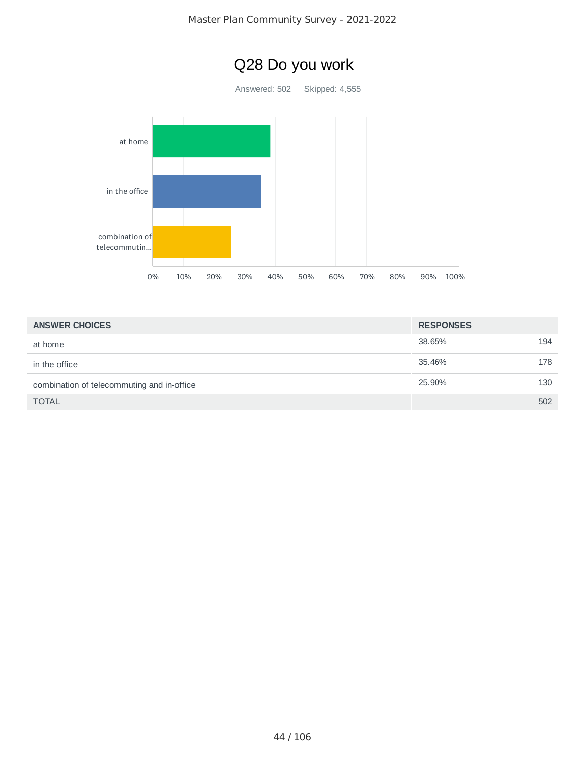

| <b>ANSWER CHOICES</b>                      | <b>RESPONSES</b> |     |
|--------------------------------------------|------------------|-----|
| at home                                    | 38.65%           | 194 |
| in the office                              | 35.46%           | 178 |
| combination of telecommuting and in-office | 25.90%           | 130 |
| <b>TOTAL</b>                               |                  | 502 |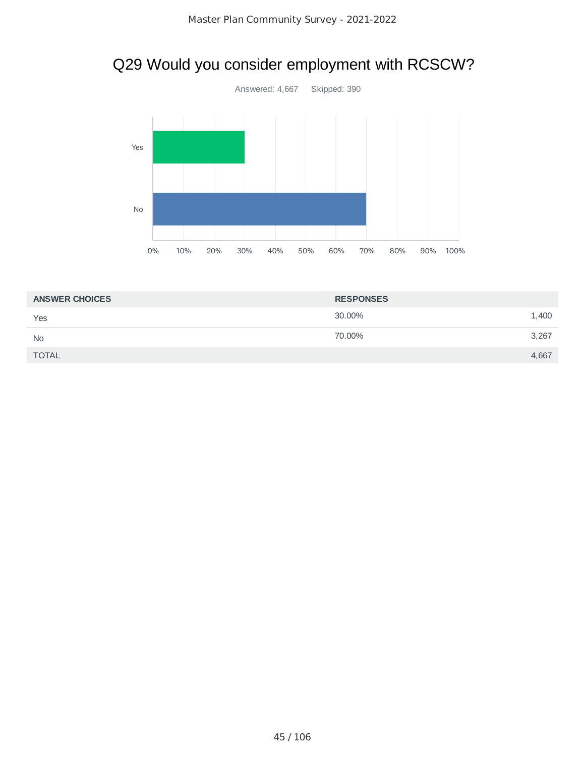# Q29 Would you consider employment with RCSCW?



| <b>ANSWER CHOICES</b> | <b>RESPONSES</b> |       |
|-----------------------|------------------|-------|
| Yes                   | 30.00%           | 1,400 |
| <b>No</b>             | 70.00%           | 3,267 |
| <b>TOTAL</b>          |                  | 4,667 |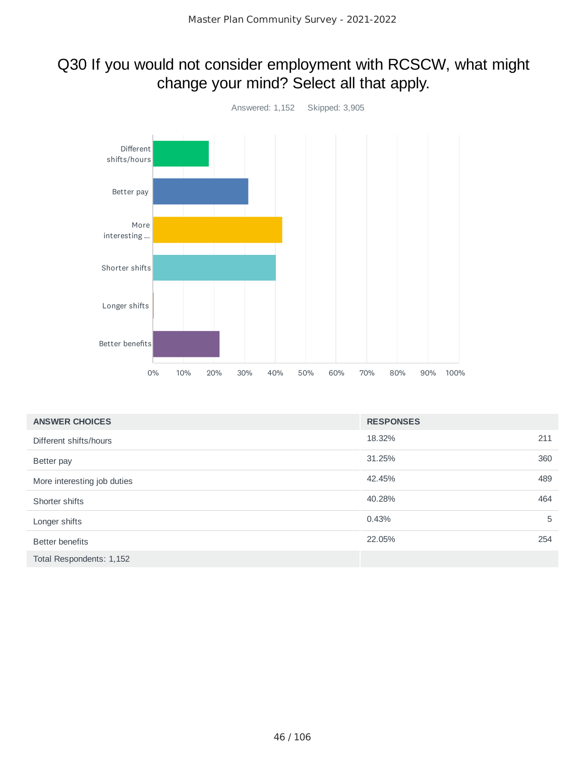### Q30 If you would not consider employment with RCSCW, what might change your mind? Select all that apply.



| <b>ANSWER CHOICES</b>       | <b>RESPONSES</b> |     |
|-----------------------------|------------------|-----|
| Different shifts/hours      | 18.32%           | 211 |
| Better pay                  | 31.25%           | 360 |
| More interesting job duties | 42.45%           | 489 |
| Shorter shifts              | 40.28%           | 464 |
| Longer shifts               | 0.43%            | 5   |
| <b>Better benefits</b>      | 22.05%           | 254 |
| Total Respondents: 1,152    |                  |     |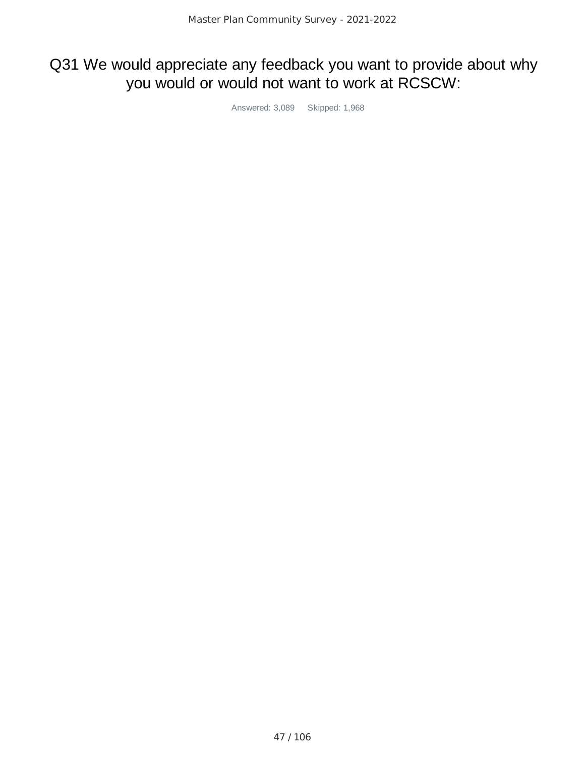### Q31 We would appreciate any feedback you want to provide about why you would or would not want to work at RCSCW:

Answered: 3,089 Skipped: 1,968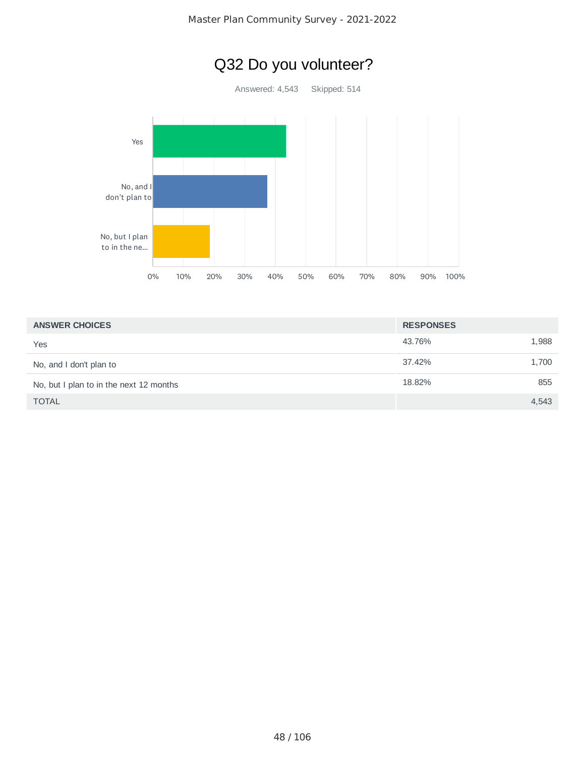

| <b>ANSWER CHOICES</b>                   | <b>RESPONSES</b> |       |
|-----------------------------------------|------------------|-------|
| Yes                                     | 43.76%           | 1,988 |
| No, and I don't plan to                 | 37.42%           | 1,700 |
| No, but I plan to in the next 12 months | 18.82%           | 855   |
| <b>TOTAL</b>                            |                  | 4,543 |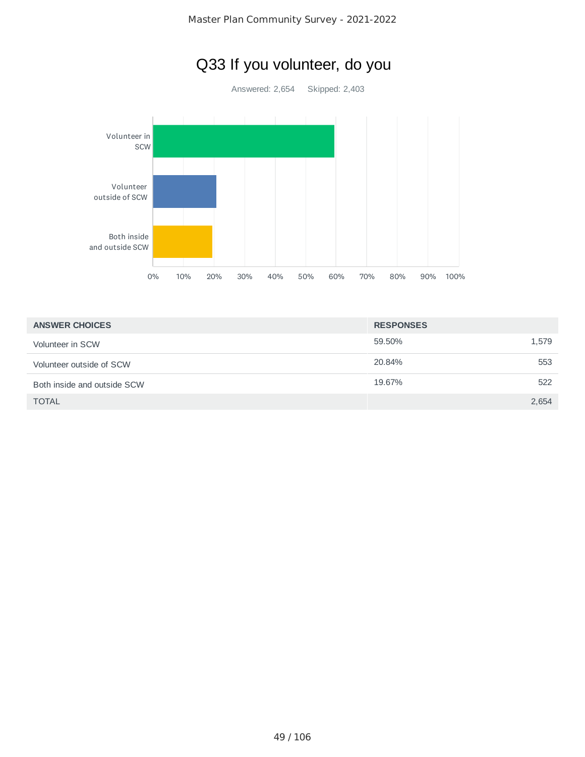

# Q33 If you volunteer, do you

| <b>ANSWER CHOICES</b>       | <b>RESPONSES</b> |       |
|-----------------------------|------------------|-------|
| Volunteer in SCW            | 59.50%           | 1,579 |
| Volunteer outside of SCW    | 20.84%           | 553   |
| Both inside and outside SCW | 19.67%           | 522   |
| <b>TOTAL</b>                |                  | 2.654 |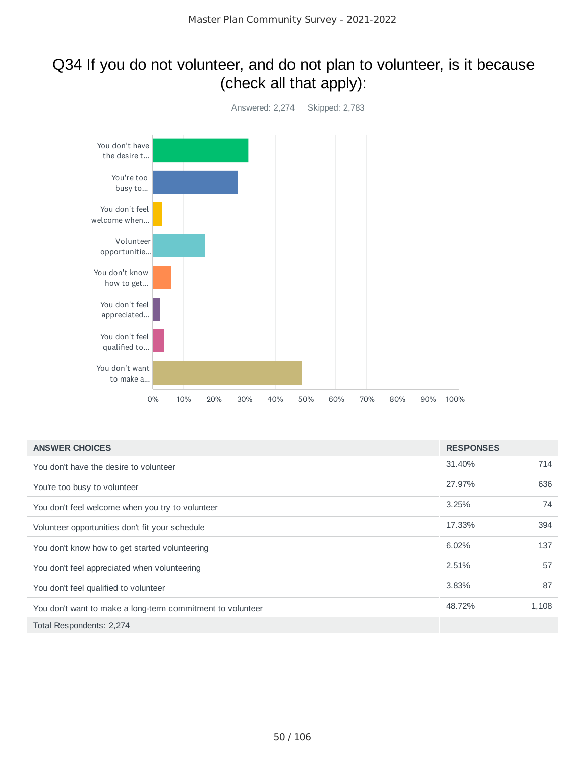### Q34 If you do not volunteer, and do not plan to volunteer, is it because (check all that apply):



| <b>ANSWER CHOICES</b>                                      | <b>RESPONSES</b> |       |
|------------------------------------------------------------|------------------|-------|
| You don't have the desire to volunteer                     | 31.40%           | 714   |
| You're too busy to volunteer                               | 27.97%           | 636   |
| You don't feel welcome when you try to volunteer           | 3.25%            | 74    |
| Volunteer opportunities don't fit your schedule            | 17.33%           | 394   |
| You don't know how to get started volunteering             | 6.02%            | 137   |
| You don't feel appreciated when volunteering               | 2.51%            | 57    |
| You don't feel qualified to volunteer                      | 3.83%            | 87    |
| You don't want to make a long-term commitment to volunteer | 48.72%           | 1,108 |
| Total Respondents: 2,274                                   |                  |       |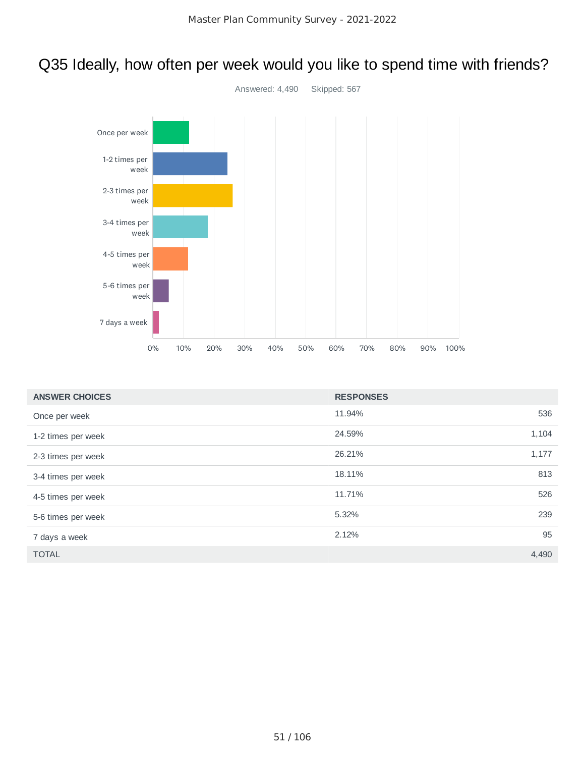### Q35 Ideally, how often per week would you like to spend time with friends?



| <b>ANSWER CHOICES</b> | <b>RESPONSES</b> |       |
|-----------------------|------------------|-------|
| Once per week         | 11.94%           | 536   |
| 1-2 times per week    | 24.59%           | 1,104 |
| 2-3 times per week    | 26.21%           | 1,177 |
| 3-4 times per week    | 18.11%           | 813   |
| 4-5 times per week    | 11.71%           | 526   |
| 5-6 times per week    | 5.32%            | 239   |
| 7 days a week         | 2.12%            | 95    |
| <b>TOTAL</b>          |                  | 4,490 |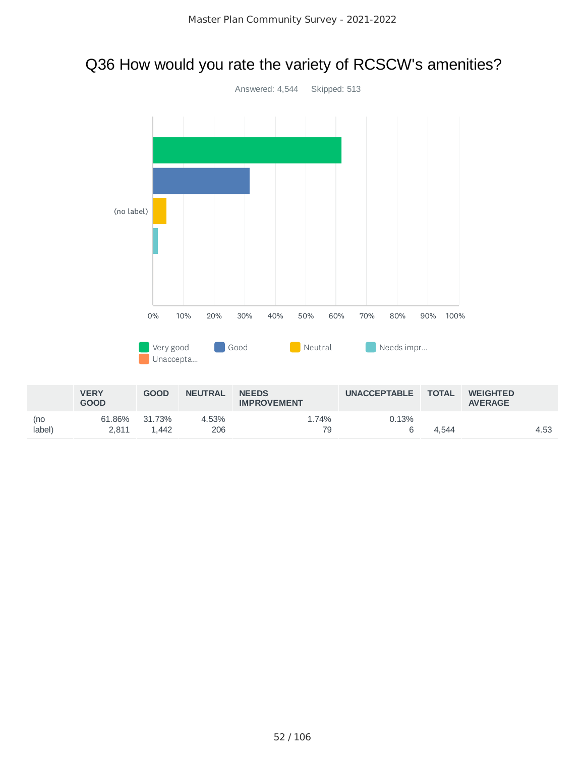### Q36 How would you rate the variety of RCSCW's amenities?



|               | <b>VERY</b><br><b>GOOD</b> | <b>GOOD</b>     | <b>NEUTRAL</b> | <b>NEEDS</b><br><b>IMPROVEMENT</b> | <b>UNACCEPTABLE</b> | <b>TOTAL</b> | <b>WEIGHTED</b><br><b>AVERAGE</b> |      |
|---------------|----------------------------|-----------------|----------------|------------------------------------|---------------------|--------------|-----------------------------------|------|
| (no<br>label) | 61.86%<br>2.811            | 31.73%<br>1.442 | 4.53%<br>206   | 74%<br>79                          | 0.13%               | 4.544        |                                   | 4.53 |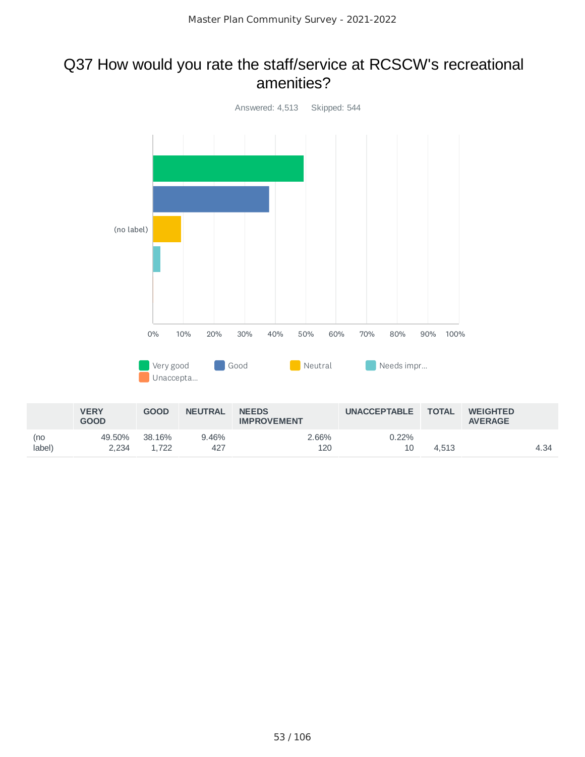### Q37 How would you rate the staff/service at RCSCW's recreational amenities?



|               | <b>VERY</b><br><b>GOOD</b> | <b>GOOD</b>     | <b>NEUTRAL</b> | <b>NEEDS</b><br><b>IMPROVEMENT</b> | <b>UNACCEPTABLE</b> | <b>TOTAL</b> | <b>WEIGHTED</b><br><b>AVERAGE</b> |      |
|---------------|----------------------------|-----------------|----------------|------------------------------------|---------------------|--------------|-----------------------------------|------|
| (no<br>label) | 49.50%<br>2.234            | 38.16%<br>1.722 | 9.46%<br>427   | 2.66%<br>120                       | 0.22%<br>10         | 4.513        |                                   | 4.34 |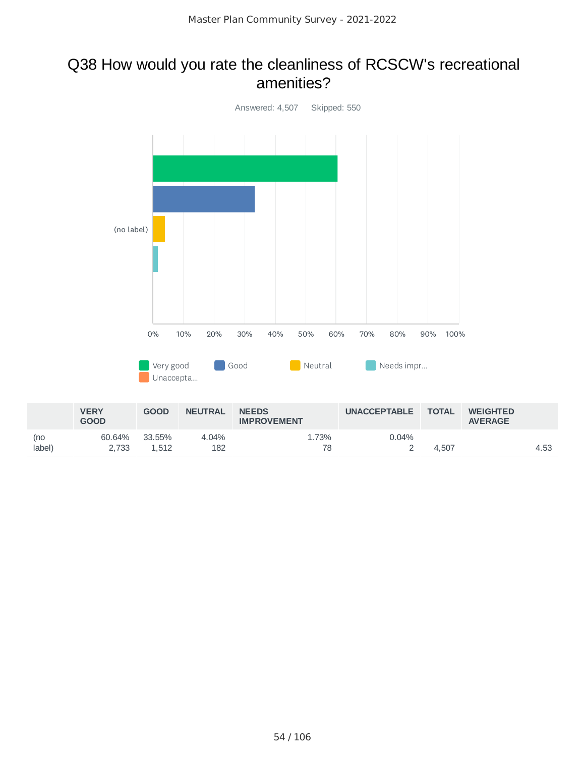### Q38 How would you rate the cleanliness of RCSCW's recreational amenities?



|               | <b>VERY</b><br><b>GOOD</b> | <b>GOOD</b>     | <b>NEUTRAL</b> | <b>NEEDS</b><br><b>IMPROVEMENT</b> | <b>UNACCEPTABLE</b> | <b>TOTAL</b> | <b>WEIGHTED</b><br><b>AVERAGE</b> |      |
|---------------|----------------------------|-----------------|----------------|------------------------------------|---------------------|--------------|-----------------------------------|------|
| (no<br>label) | 60.64%<br>2.733            | 33.55%<br>1.512 | 4.04%<br>182   | L.73%<br>78                        | $0.04\%$<br>-       | 4.507        |                                   | 4.53 |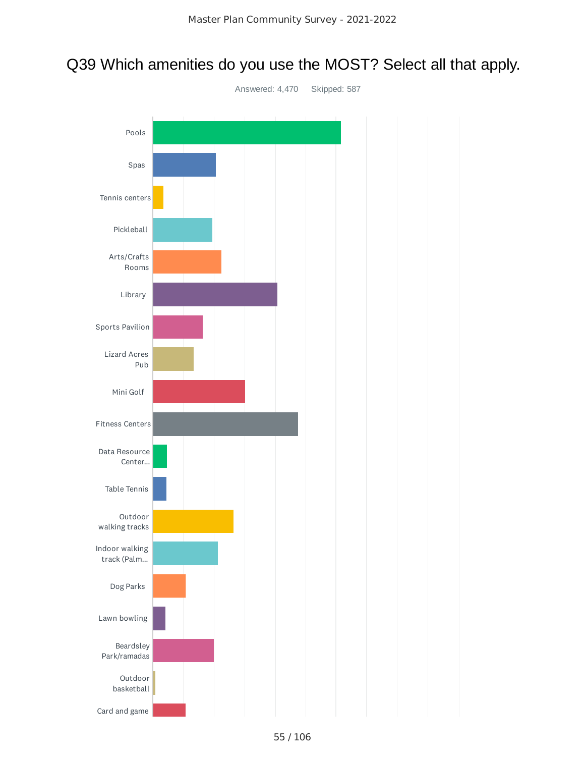### Q39 Which amenities do you use the MOST? Select all that apply.

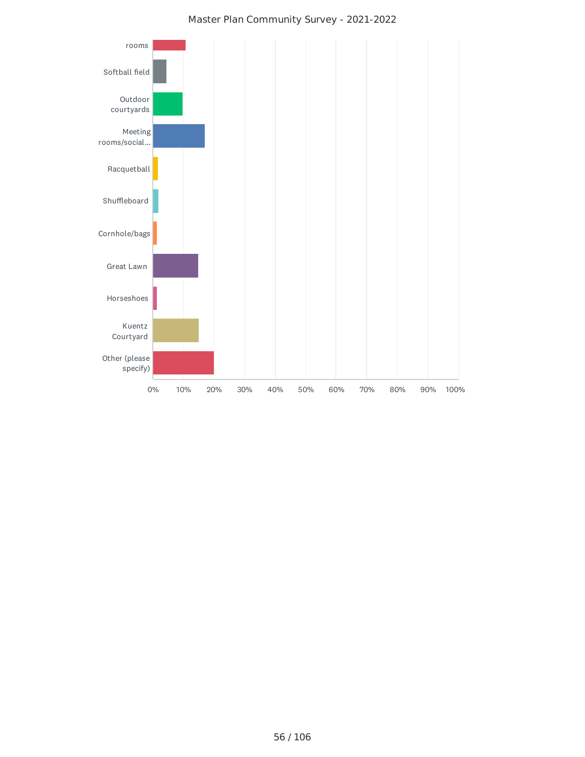

#### Master Plan Community Survey - 2021-2022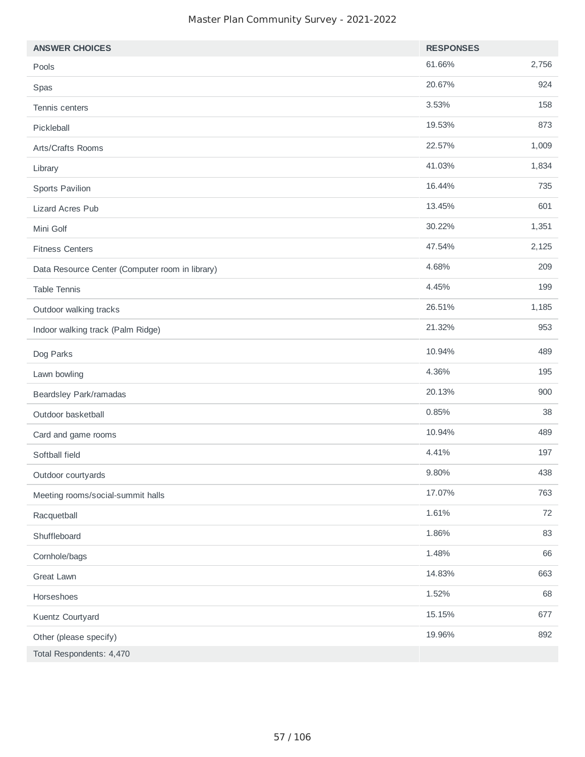#### Master Plan Community Survey - 2021-2022

| <b>ANSWER CHOICES</b>                           | <b>RESPONSES</b> |       |
|-------------------------------------------------|------------------|-------|
| Pools                                           | 61.66%           | 2,756 |
| Spas                                            | 20.67%           | 924   |
| Tennis centers                                  | 3.53%            | 158   |
| Pickleball                                      | 19.53%           | 873   |
| Arts/Crafts Rooms                               | 22.57%           | 1,009 |
| Library                                         | 41.03%           | 1,834 |
| Sports Pavilion                                 | 16.44%           | 735   |
| <b>Lizard Acres Pub</b>                         | 13.45%           | 601   |
| Mini Golf                                       | 30.22%           | 1,351 |
| <b>Fitness Centers</b>                          | 47.54%           | 2,125 |
| Data Resource Center (Computer room in library) | 4.68%            | 209   |
| <b>Table Tennis</b>                             | 4.45%            | 199   |
| Outdoor walking tracks                          | 26.51%           | 1,185 |
| Indoor walking track (Palm Ridge)               | 21.32%           | 953   |
| Dog Parks                                       | 10.94%           | 489   |
| Lawn bowling                                    | 4.36%            | 195   |
| Beardsley Park/ramadas                          | 20.13%           | 900   |
| Outdoor basketball                              | 0.85%            | 38    |
| Card and game rooms                             | 10.94%           | 489   |
| Softball field                                  | 4.41%            | 197   |
| Outdoor courtyards                              | 9.80%            | 438   |
| Meeting rooms/social-summit halls               | 17.07%           | 763   |
| Racquetball                                     | 1.61%            | 72    |
| Shuffleboard                                    | 1.86%            | 83    |
| Cornhole/bags                                   | 1.48%            | 66    |
| Great Lawn                                      | 14.83%           | 663   |
| Horseshoes                                      | 1.52%            | 68    |
| Kuentz Courtyard                                | 15.15%           | 677   |
| Other (please specify)                          | 19.96%           | 892   |
| Total Respondents: 4,470                        |                  |       |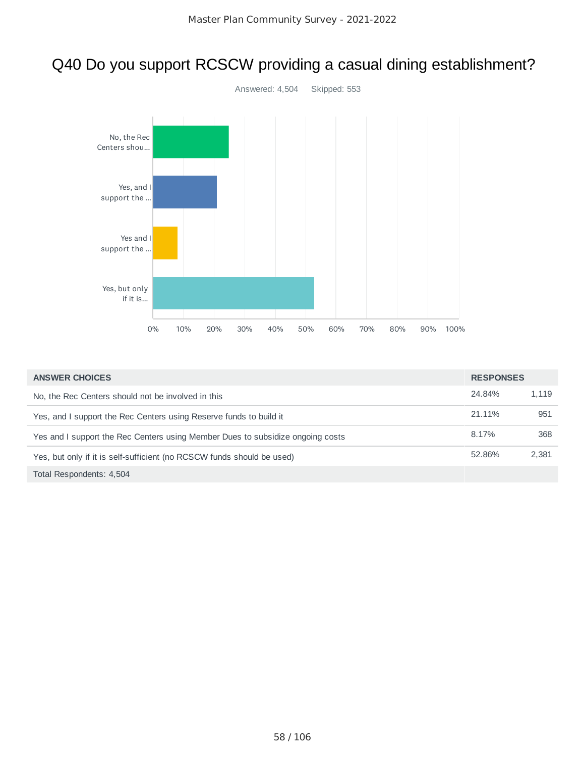### Q40 Do you support RCSCW providing a casual dining establishment?



| <b>ANSWER CHOICES</b>                                                          | <b>RESPONSES</b> |       |
|--------------------------------------------------------------------------------|------------------|-------|
| No, the Rec Centers should not be involved in this                             | 24.84%           | 1.119 |
| Yes, and I support the Rec Centers using Reserve funds to build it             | 21.11%           | 951   |
| Yes and I support the Rec Centers using Member Dues to subsidize ongoing costs | 8.17%            | 368   |
| Yes, but only if it is self-sufficient (no RCSCW funds should be used)         | 52.86%           | 2.381 |
| Total Respondents: 4,504                                                       |                  |       |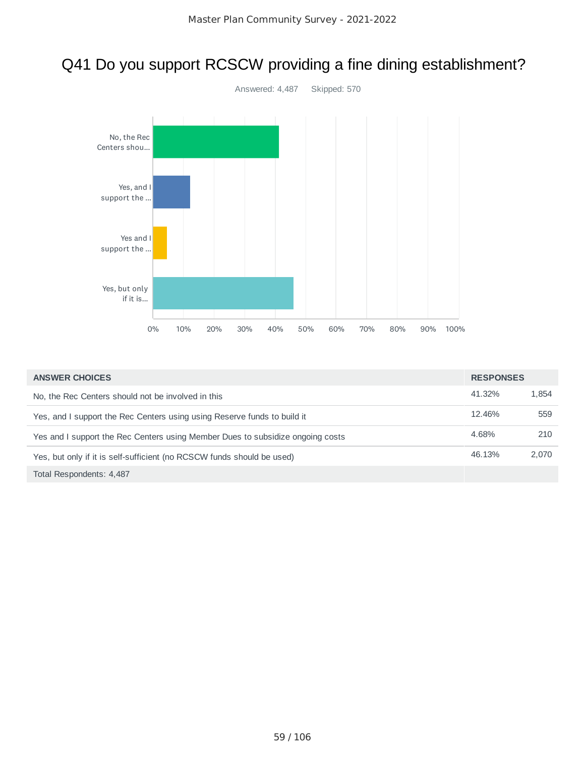### Q41 Do you support RCSCW providing a fine dining establishment?



| <b>ANSWER CHOICES</b>                                                          | <b>RESPONSES</b> |       |
|--------------------------------------------------------------------------------|------------------|-------|
| No, the Rec Centers should not be involved in this                             | 41.32%           | 1.854 |
| Yes, and I support the Rec Centers using using Reserve funds to build it       | 12.46%           | 559   |
| Yes and I support the Rec Centers using Member Dues to subsidize ongoing costs | 4.68%            | 210   |
| Yes, but only if it is self-sufficient (no RCSCW funds should be used)         | 46.13%           | 2.070 |
| Total Respondents: 4,487                                                       |                  |       |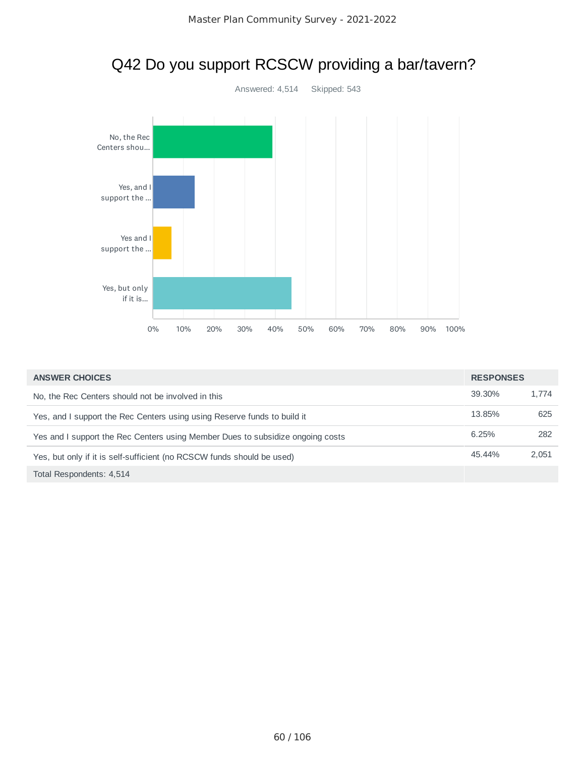# Q42 Do you support RCSCW providing a bar/tavern? Answered: 4,514 Skipped: 543 0% 10% 20% 30% 40% 50% 60% 70% 80% 90% 100% No, the Rec Centers shou... Yes, and I support the ... Yes and I support the ... Yes, but only if it is...

| <b>ANSWER CHOICES</b>                                                          | <b>RESPONSES</b> |       |
|--------------------------------------------------------------------------------|------------------|-------|
| No, the Rec Centers should not be involved in this                             | 39.30%           | 1.774 |
| Yes, and I support the Rec Centers using using Reserve funds to build it       | 13.85%           | 625   |
| Yes and I support the Rec Centers using Member Dues to subsidize ongoing costs | 6.25%            | 282   |
| Yes, but only if it is self-sufficient (no RCSCW funds should be used)         | 45.44%           | 2.051 |
| Total Respondents: 4,514                                                       |                  |       |

#### 60 / 106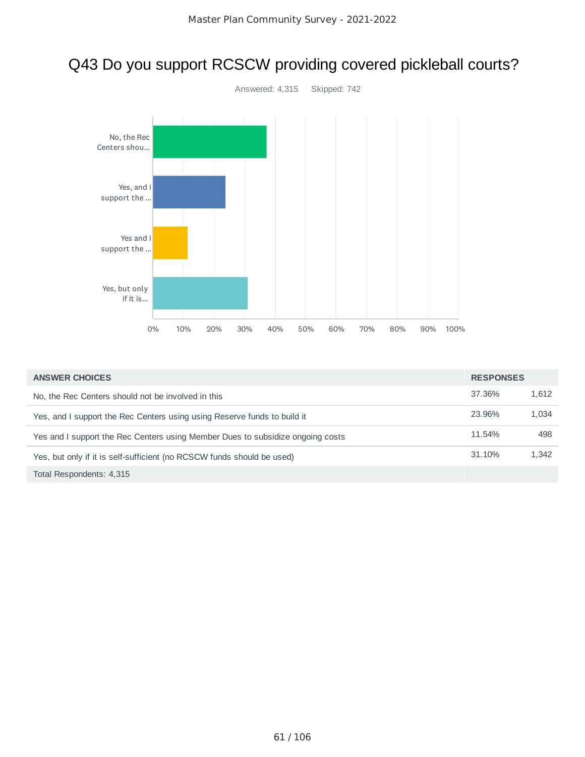### Q43 Do you support RCSCW providing covered pickleball courts?



| <b>ANSWER CHOICES</b>                                                          | <b>RESPONSES</b> |       |
|--------------------------------------------------------------------------------|------------------|-------|
| No, the Rec Centers should not be involved in this                             | 37.36%           | 1.612 |
| Yes, and I support the Rec Centers using using Reserve funds to build it       | 23.96%           | 1.034 |
| Yes and I support the Rec Centers using Member Dues to subsidize ongoing costs | 11.54%           | 498   |
| Yes, but only if it is self-sufficient (no RCSCW funds should be used)         | 31.10%           | 1,342 |
| Total Respondents: 4,315                                                       |                  |       |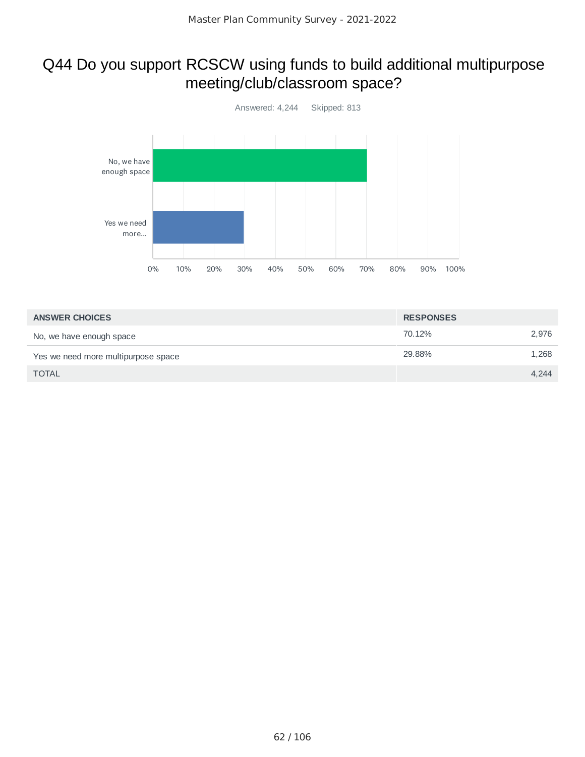### Q44 Do you support RCSCW using funds to build additional multipurpose meeting/club/classroom space?



| <b>ANSWER CHOICES</b>               | <b>RESPONSES</b> |       |
|-------------------------------------|------------------|-------|
| No, we have enough space            | 70.12%           | 2,976 |
| Yes we need more multipurpose space | 29.88%           | 1,268 |
| <b>TOTAL</b>                        |                  | 4,244 |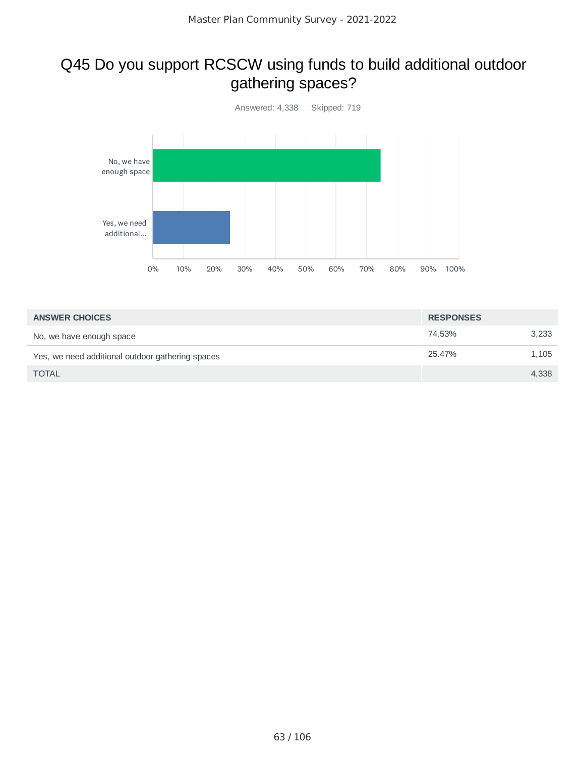### Q45 Do you support RCSCW using funds to build additional outdoor gathering spaces?



| <b>ANSWER CHOICES</b>                            | <b>RESPONSES</b> |       |
|--------------------------------------------------|------------------|-------|
| No, we have enough space                         | 74.53%           | 3,233 |
| Yes, we need additional outdoor gathering spaces | 25.47%           | 1,105 |
| <b>TOTAL</b>                                     |                  | 4,338 |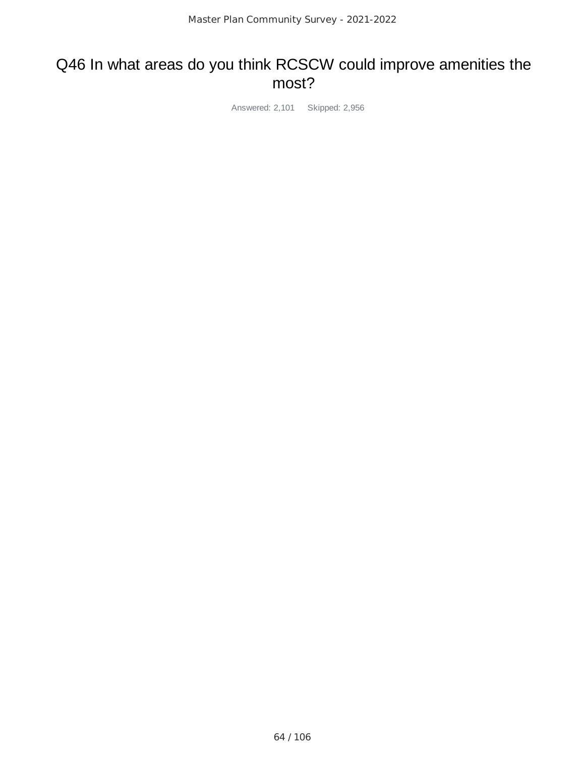### Q46 In what areas do you think RCSCW could improve amenities the most?

Answered: 2,101 Skipped: 2,956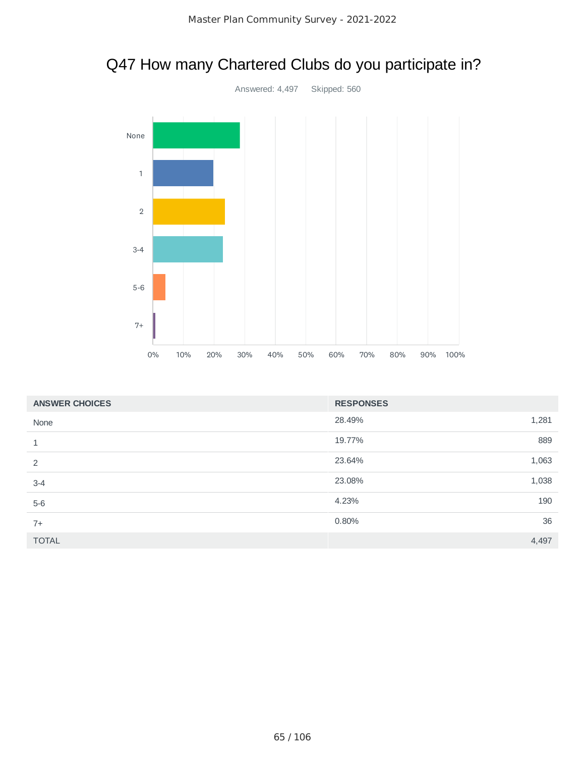

| Q47 How many Chartered Clubs do you participate in? |  |  |  |
|-----------------------------------------------------|--|--|--|
|-----------------------------------------------------|--|--|--|

| <b>ANSWER CHOICES</b> | <b>RESPONSES</b> |       |
|-----------------------|------------------|-------|
| None                  | 28.49%           | 1,281 |
| 1                     | 19.77%           | 889   |
| 2                     | 23.64%           | 1,063 |
| $3 - 4$               | 23.08%           | 1,038 |
| $5-6$                 | 4.23%            | 190   |
| $7+$                  | 0.80%            | 36    |
| <b>TOTAL</b>          |                  | 4,497 |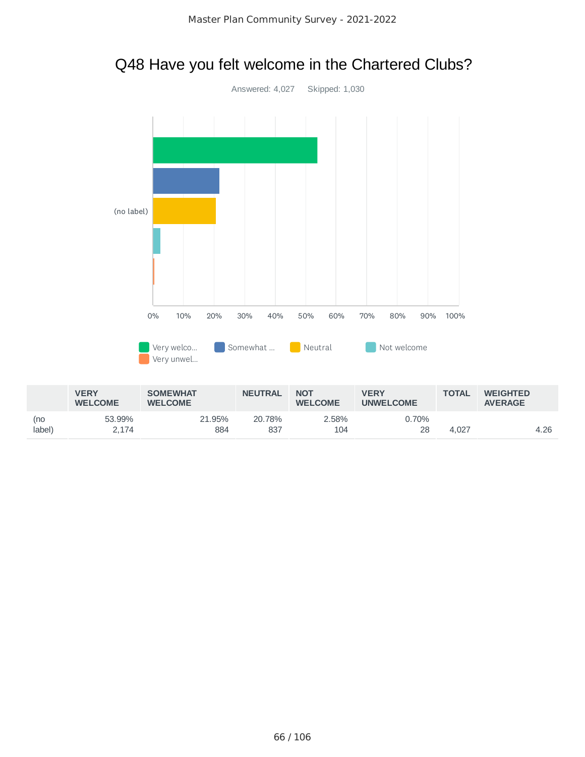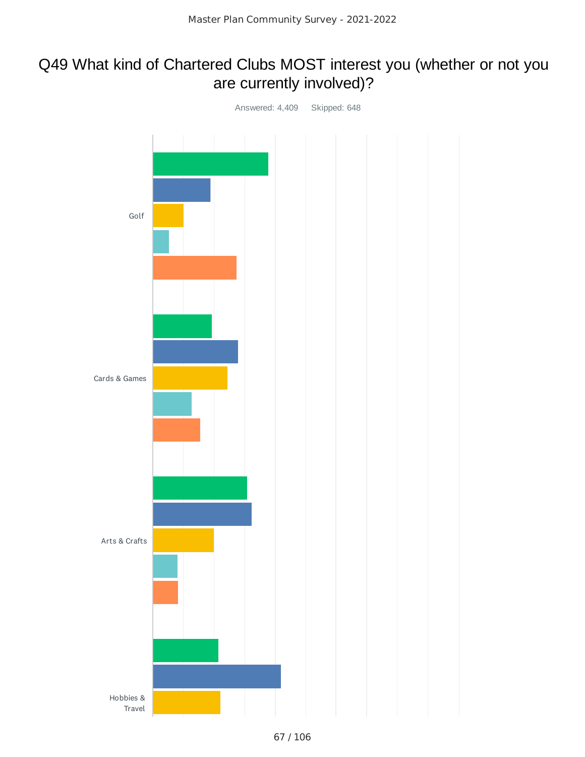### Q49 What kind of Chartered Clubs MOST interest you (whether or not you are currently involved)?

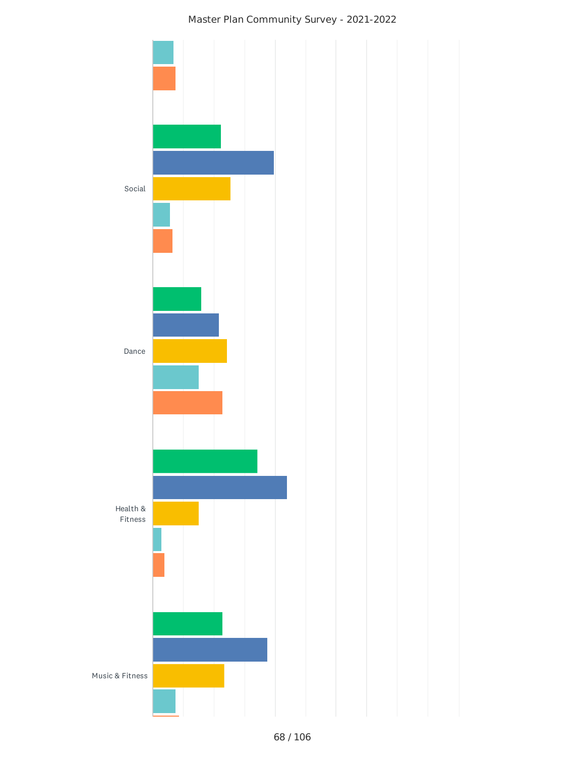#### Master Plan Community Survey - 2021-2022

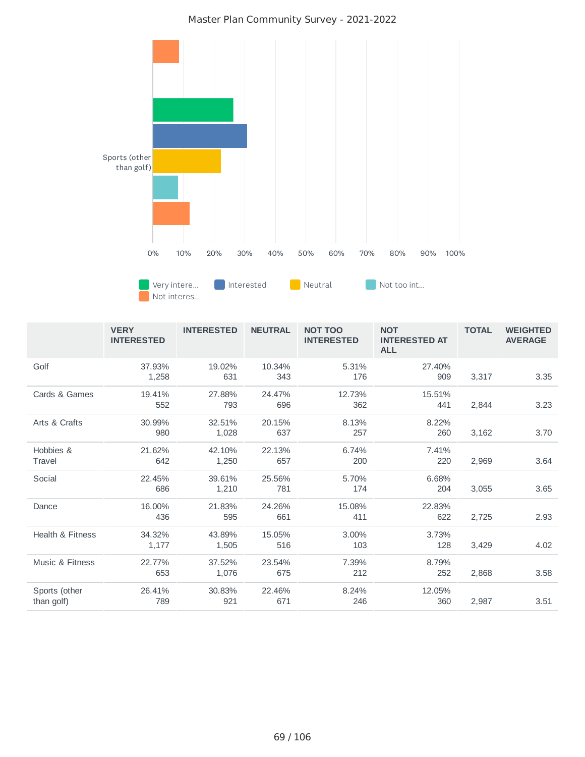#### Master Plan Community Survey - 2021-2022



|                             | <b>VERY</b><br><b>INTERESTED</b> | <b>INTERESTED</b> | <b>NEUTRAL</b> | <b>NOT TOO</b><br><b>INTERESTED</b> | <b>NOT</b><br><b>INTERESTED AT</b><br><b>ALL</b> | <b>TOTAL</b> | <b>WEIGHTED</b><br><b>AVERAGE</b> |
|-----------------------------|----------------------------------|-------------------|----------------|-------------------------------------|--------------------------------------------------|--------------|-----------------------------------|
| Golf                        | 37.93%<br>1,258                  | 19.02%<br>631     | 10.34%<br>343  | 5.31%<br>176                        | 27.40%<br>909                                    | 3,317        | 3.35                              |
| Cards & Games               | 19.41%<br>552                    | 27.88%<br>793     | 24.47%<br>696  | 12.73%<br>362                       | 15.51%<br>441                                    | 2,844        | 3.23                              |
| Arts & Crafts               | 30.99%<br>980                    | 32.51%<br>1,028   | 20.15%<br>637  | 8.13%<br>257                        | 8.22%<br>260                                     | 3,162        | 3.70                              |
| Hobbies &<br>Travel         | 21.62%<br>642                    | 42.10%<br>1,250   | 22.13%<br>657  | 6.74%<br>200                        | 7.41%<br>220                                     | 2,969        | 3.64                              |
| Social                      | 22.45%<br>686                    | 39.61%<br>1,210   | 25.56%<br>781  | 5.70%<br>174                        | 6.68%<br>204                                     | 3,055        | 3.65                              |
| Dance                       | 16.00%<br>436                    | 21.83%<br>595     | 24.26%<br>661  | 15.08%<br>411                       | 22.83%<br>622                                    | 2,725        | 2.93                              |
| Health & Fitness            | 34.32%<br>1,177                  | 43.89%<br>1,505   | 15.05%<br>516  | 3.00%<br>103                        | 3.73%<br>128                                     | 3,429        | 4.02                              |
| Music & Fitness             | 22.77%<br>653                    | 37.52%<br>1,076   | 23.54%<br>675  | 7.39%<br>212                        | 8.79%<br>252                                     | 2,868        | 3.58                              |
| Sports (other<br>than golf) | 26.41%<br>789                    | 30.83%<br>921     | 22.46%<br>671  | 8.24%<br>246                        | 12.05%<br>360                                    | 2,987        | 3.51                              |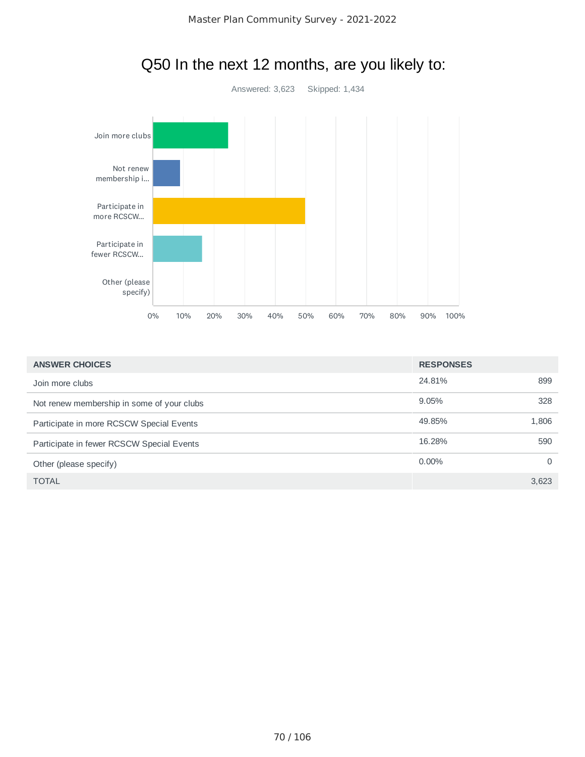

| <b>ANSWER CHOICES</b>                      | <b>RESPONSES</b> |       |
|--------------------------------------------|------------------|-------|
| Join more clubs                            | 24.81%           | 899   |
| Not renew membership in some of your clubs | 9.05%            | 328   |
| Participate in more RCSCW Special Events   | 49.85%           | 1,806 |
| Participate in fewer RCSCW Special Events  | 16.28%           | 590   |
| Other (please specify)                     | $0.00\%$         | 0     |
| TOTAL                                      |                  | 3,623 |

### Q50 In the next 12 months, are you likely to: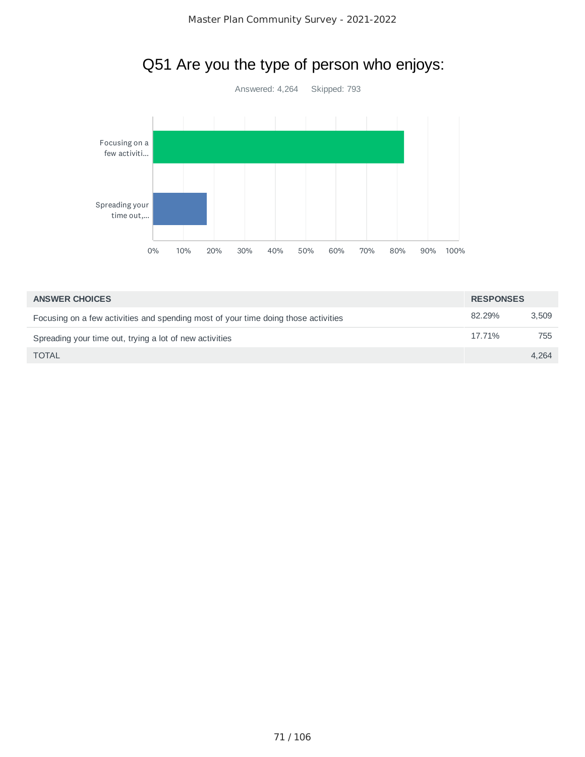

| <b>ANSWER CHOICES</b>                                                              |        | <b>RESPONSES</b> |  |
|------------------------------------------------------------------------------------|--------|------------------|--|
| Focusing on a few activities and spending most of your time doing those activities | 82.29% | 3.509            |  |
| Spreading your time out, trying a lot of new activities                            | 17.71% | 755              |  |
| <b>TOTAL</b>                                                                       |        | 4.264            |  |

### Q51 Are you the type of person who enjoys: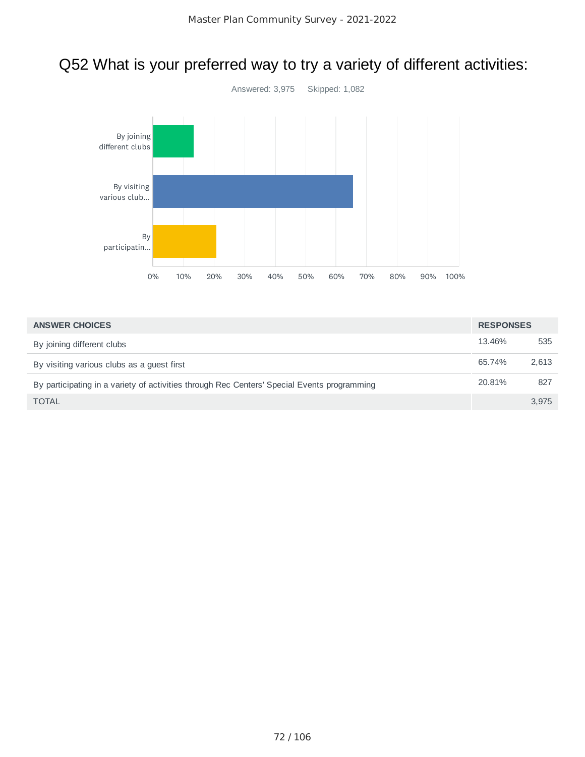### Q52 What is your preferred way to try a variety of different activities:



| <b>ANSWER CHOICES</b>                                                                       |        | <b>RESPONSES</b> |  |
|---------------------------------------------------------------------------------------------|--------|------------------|--|
| By joining different clubs                                                                  | 13.46% | 535              |  |
| By visiting various clubs as a guest first                                                  | 65.74% | 2,613            |  |
| By participating in a variety of activities through Rec Centers' Special Events programming | 20.81% | 827              |  |
| <b>TOTAL</b>                                                                                |        | 3,975            |  |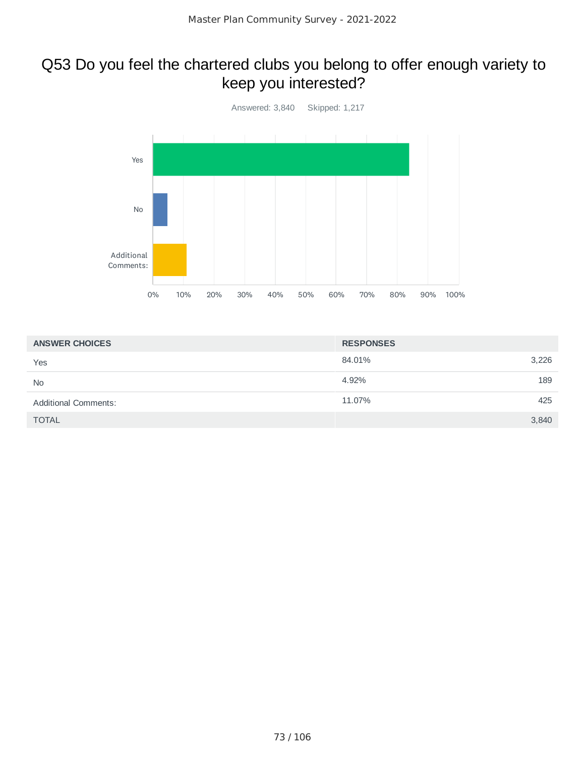## Q53 Do you feel the chartered clubs you belong to offer enough variety to keep you interested?



| <b>ANSWER CHOICES</b>       | <b>RESPONSES</b> |
|-----------------------------|------------------|
| Yes                         | 84.01%<br>3,226  |
| <b>No</b>                   | 4.92%<br>189     |
| <b>Additional Comments:</b> | 425<br>11.07%    |
| <b>TOTAL</b>                | 3,840            |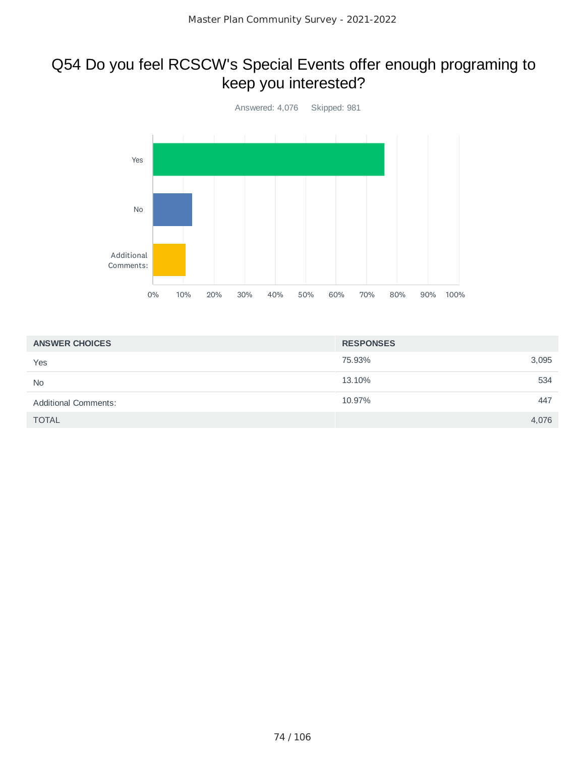## Q54 Do you feel RCSCW's Special Events offer enough programing to keep you interested?



| <b>ANSWER CHOICES</b>       | <b>RESPONSES</b> |
|-----------------------------|------------------|
| Yes                         | 75.93%<br>3,095  |
| <b>No</b>                   | 13.10%<br>534    |
| <b>Additional Comments:</b> | 10.97%<br>447    |
| <b>TOTAL</b>                | 4,076            |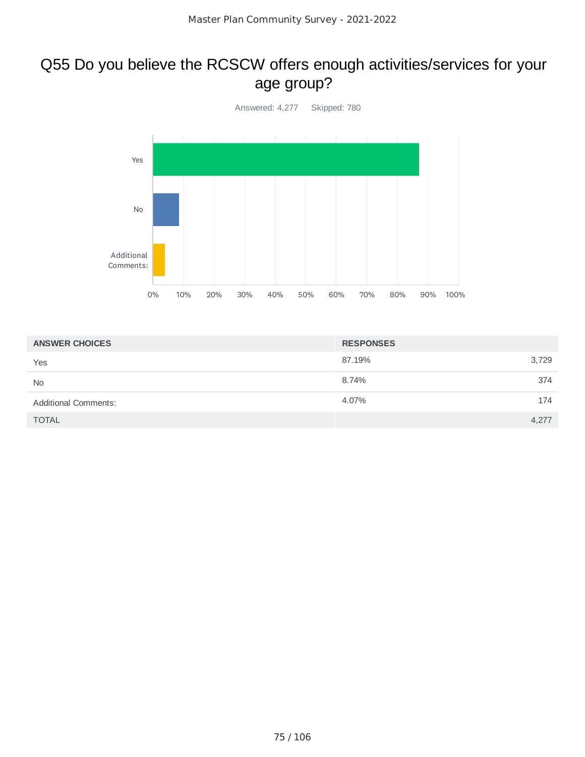## Q55 Do you believe the RCSCW offers enough activities/services for your age group?



| <b>ANSWER CHOICES</b>       | <b>RESPONSES</b> |
|-----------------------------|------------------|
| Yes                         | 87.19%<br>3,729  |
| <b>No</b>                   | 8.74%<br>374     |
| <b>Additional Comments:</b> | 4.07%<br>174     |
| <b>TOTAL</b>                | 4.277            |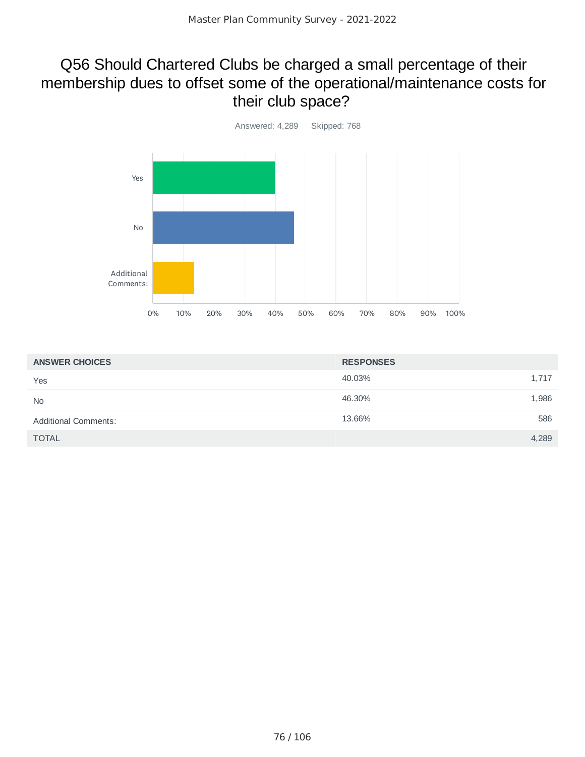## Q56 Should Chartered Clubs be charged a small percentage of their membership dues to offset some of the operational/maintenance costs for their club space?



| <b>ANSWER CHOICES</b>       | <b>RESPONSES</b> |
|-----------------------------|------------------|
| Yes                         | 40.03%<br>1,717  |
| <b>No</b>                   | 46.30%<br>1,986  |
| <b>Additional Comments:</b> | 13.66%<br>586    |
| <b>TOTAL</b>                | 4,289            |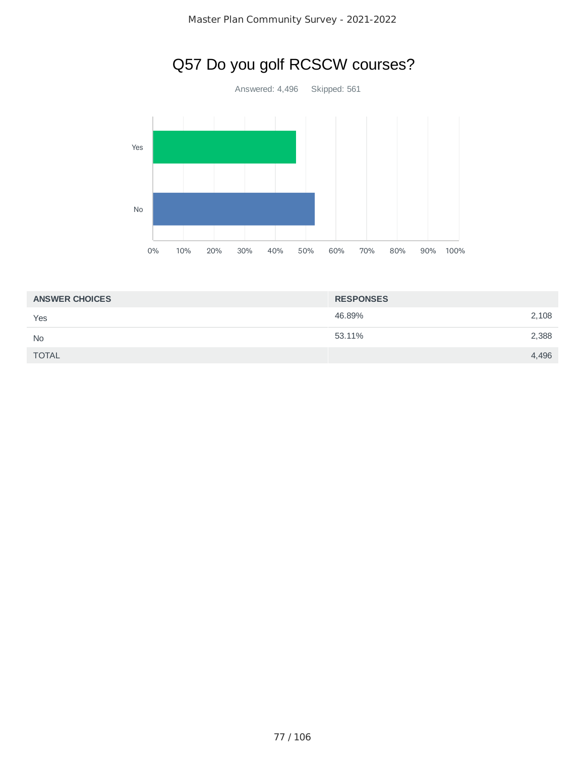

| <b>ANSWER CHOICES</b> | <b>RESPONSES</b> |       |
|-----------------------|------------------|-------|
| Yes                   | 46.89%           | 2,108 |
| <b>No</b>             | 53.11%           | 2,388 |
| <b>TOTAL</b>          |                  | 4,496 |

## Q57 Do you golf RCSCW courses?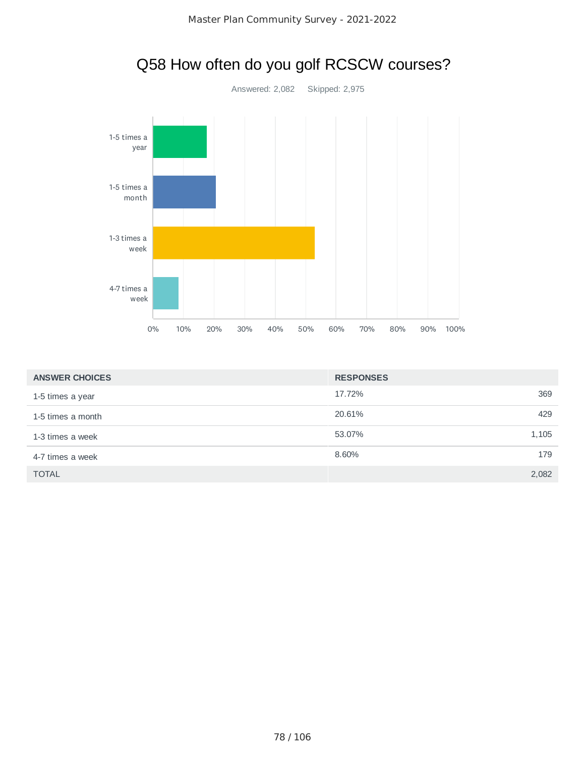

| <b>ANSWER CHOICES</b> | <b>RESPONSES</b> |       |
|-----------------------|------------------|-------|
| 1-5 times a year      | 17.72%           | 369   |
| 1-5 times a month     | 20.61%           | 429   |
| 1-3 times a week      | 53.07%           | 1,105 |
| 4-7 times a week      | 8.60%            | 179   |
| <b>TOTAL</b>          |                  | 2,082 |

## Q58 How often do you golf RCSCW courses?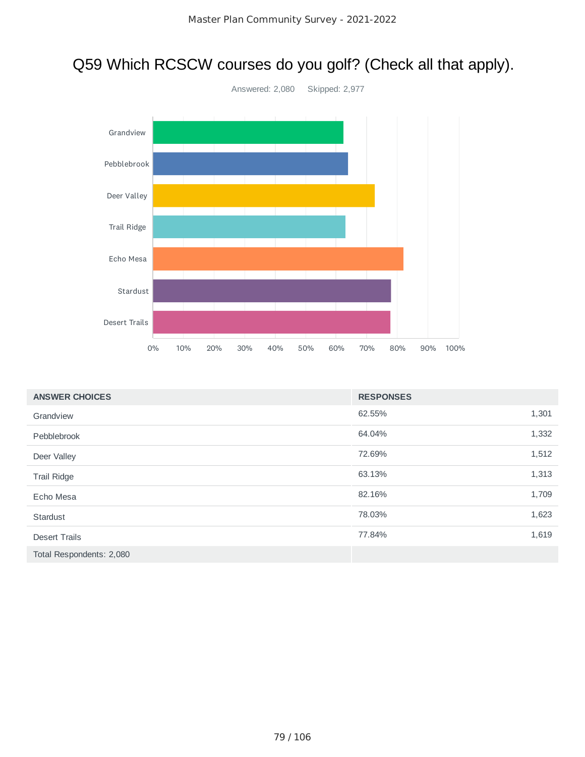## Q59 Which RCSCW courses do you golf? (Check all that apply).



| <b>ANSWER CHOICES</b>    | <b>RESPONSES</b> |       |
|--------------------------|------------------|-------|
| Grandview                | 62.55%           | 1,301 |
| Pebblebrook              | 64.04%           | 1,332 |
| Deer Valley              | 72.69%           | 1,512 |
| <b>Trail Ridge</b>       | 63.13%           | 1,313 |
| Echo Mesa                | 82.16%           | 1,709 |
| Stardust                 | 78.03%           | 1,623 |
| <b>Desert Trails</b>     | 77.84%           | 1,619 |
| Total Respondents: 2,080 |                  |       |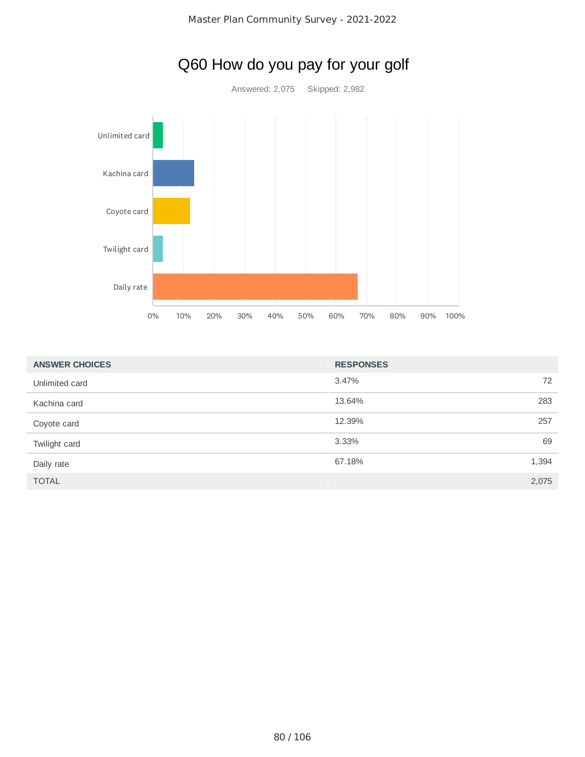

| <b>ANSWER CHOICES</b> | <b>RESPONSES</b> |       |
|-----------------------|------------------|-------|
| Unlimited card        | 3.47%            | 72    |
| Kachina card          | 13.64%           | 283   |
| Coyote card           | 12.39%           | 257   |
| Twilight card         | 3.33%            | 69    |
| Daily rate            | 67.18%           | 1,394 |
| <b>TOTAL</b>          |                  | 2,075 |

Ĭ.

## Q60 How do you pay for your golf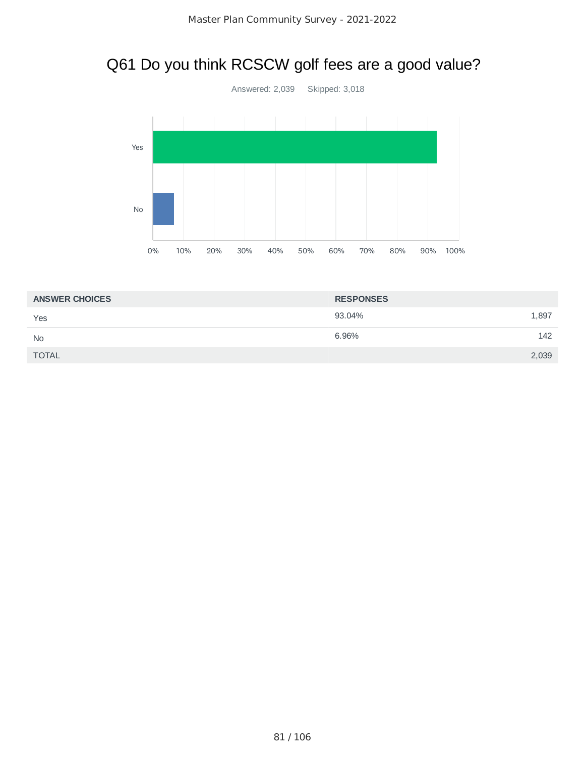## Q61 Do you think RCSCW golf fees are a good value?



| <b>ANSWER CHOICES</b> | <b>RESPONSES</b> |  |
|-----------------------|------------------|--|
| Yes                   | 93.04%<br>1,897  |  |
| <b>No</b>             | 6.96%<br>142     |  |
| <b>TOTAL</b>          | 2,039            |  |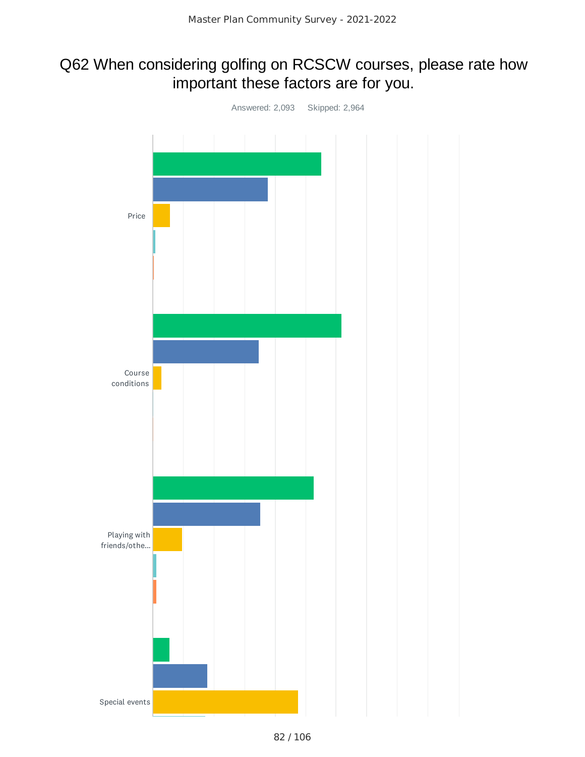## Q62 When considering golfing on RCSCW courses, please rate how important these factors are for you.

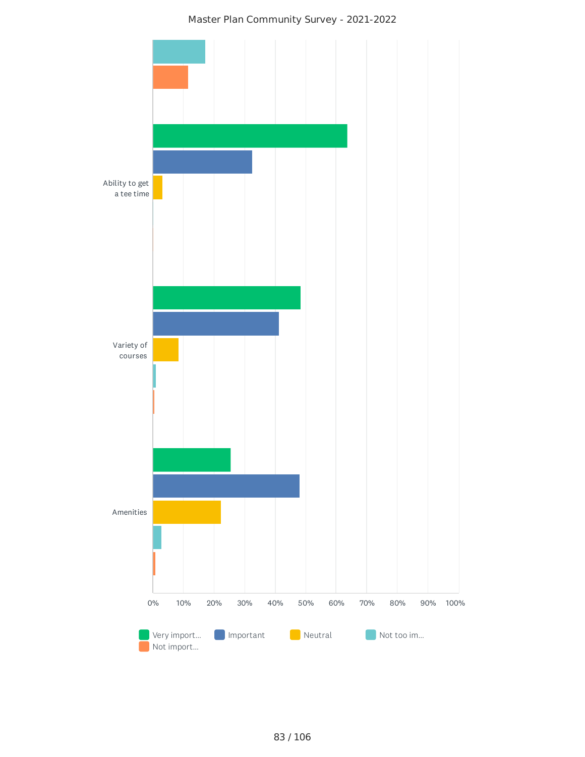

#### Master Plan Community Survey - 2021-2022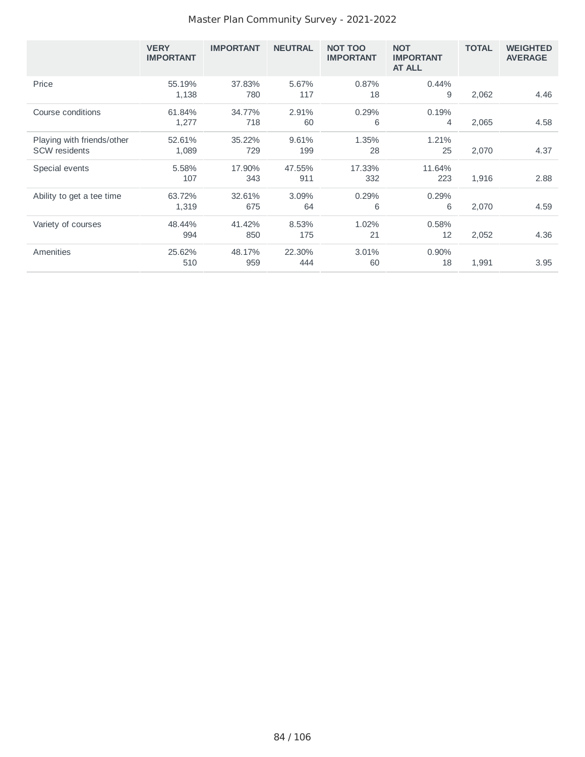#### Master Plan Community Survey - 2021-2022

|                                                    | <b>VERY</b><br><b>IMPORTANT</b> | <b>IMPORTANT</b> | <b>NEUTRAL</b> | <b>NOT TOO</b><br><b>IMPORTANT</b> | <b>NOT</b><br><b>IMPORTANT</b><br><b>AT ALL</b> | <b>TOTAL</b> | <b>WEIGHTED</b><br><b>AVERAGE</b> |
|----------------------------------------------------|---------------------------------|------------------|----------------|------------------------------------|-------------------------------------------------|--------------|-----------------------------------|
| Price                                              | 55.19%<br>1,138                 | 37.83%<br>780    | 5.67%<br>117   | 0.87%<br>18                        | 0.44%<br>9                                      | 2,062        | 4.46                              |
| Course conditions                                  | 61.84%<br>1,277                 | 34.77%<br>718    | 2.91%<br>60    | 0.29%<br>6                         | 0.19%<br>4                                      | 2,065        | 4.58                              |
| Playing with friends/other<br><b>SCW</b> residents | 52.61%<br>1,089                 | 35.22%<br>729    | 9.61%<br>199   | 1.35%<br>28                        | 1.21%<br>25                                     | 2,070        | 4.37                              |
| Special events                                     | 5.58%<br>107                    | 17.90%<br>343    | 47.55%<br>911  | 17.33%<br>332                      | 11.64%<br>223                                   | 1,916        | 2.88                              |
| Ability to get a tee time                          | 63.72%<br>1,319                 | 32.61%<br>675    | 3.09%<br>64    | 0.29%<br>6                         | 0.29%<br>6                                      | 2.070        | 4.59                              |
| Variety of courses                                 | 48.44%<br>994                   | 41.42%<br>850    | 8.53%<br>175   | 1.02%<br>21                        | 0.58%<br>12                                     | 2,052        | 4.36                              |
| Amenities                                          | 25.62%<br>510                   | 48.17%<br>959    | 22.30%<br>444  | 3.01%<br>60                        | $0.90\%$<br>18                                  | 1,991        | 3.95                              |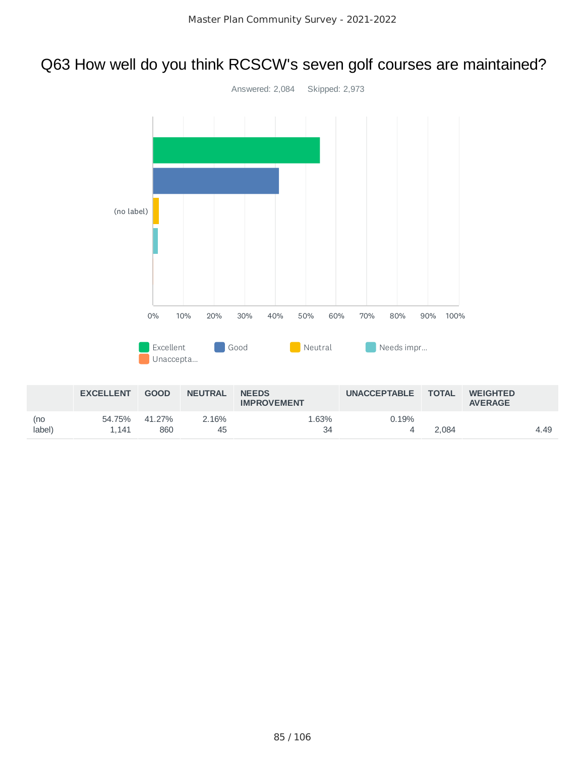## Q63 How well do you think RCSCW's seven golf courses are maintained?



|               | <b>EXCELLENT</b> | <b>GOOD</b>   | <b>NEUTRAL</b> | <b>NEEDS</b><br><b>IMPROVEMENT</b> | <b>UNACCEPTABLE</b> | <b>TOTAL</b> | <b>WEIGHTED</b><br><b>AVERAGE</b> |      |
|---------------|------------------|---------------|----------------|------------------------------------|---------------------|--------------|-----------------------------------|------|
| (no<br>label) | 54.75%<br>1.141  | 41.27%<br>860 | $2.16\%$<br>45 | 63%<br>34                          | 0.19%               | 2.084        |                                   | 4.49 |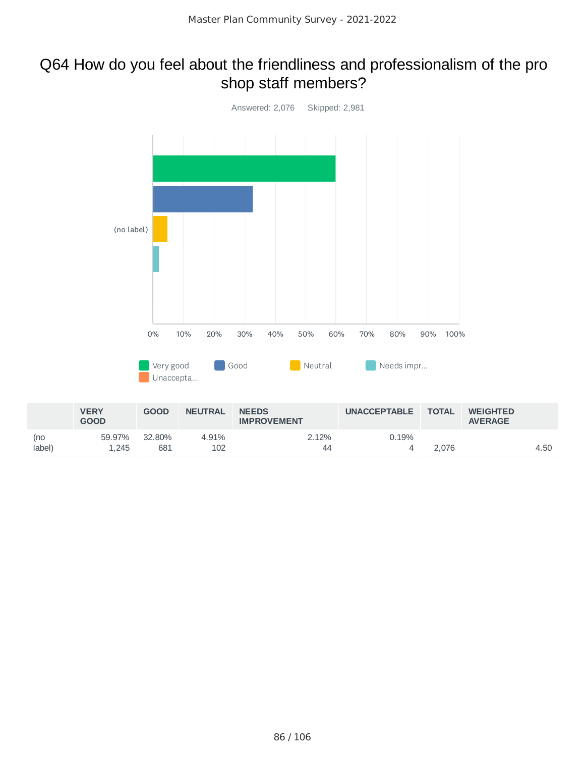## Q64 How do you feel about the friendliness and professionalism of the pro shop staff members?



|               | <b>VERY</b><br><b>GOOD</b> | <b>GOOD</b>   | <b>NEUTRAL</b> | <b>NEEDS</b><br><b>IMPROVEMENT</b> | <b>UNACCEPTABLE</b> | <b>TOTAL</b> | <b>WEIGHTED</b><br><b>AVERAGE</b> |      |
|---------------|----------------------------|---------------|----------------|------------------------------------|---------------------|--------------|-----------------------------------|------|
| (no<br>label) | 59.97%<br>1.245            | 32.80%<br>681 | 4.91%<br>102   | 2.12%<br>44                        | $0.19\%$            | 2.076        |                                   | 4.50 |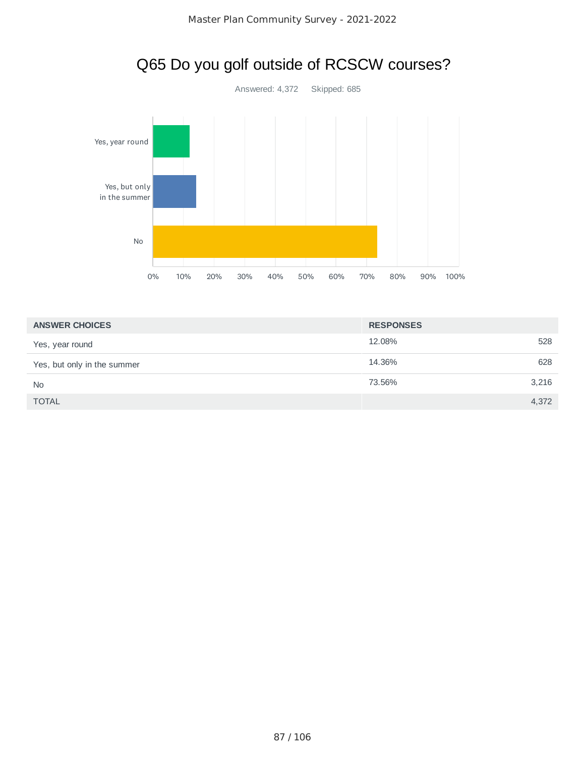

## Q65 Do you golf outside of RCSCW courses?

| <b>ANSWER CHOICES</b>       | <b>RESPONSES</b> |       |
|-----------------------------|------------------|-------|
| Yes, year round             | 12.08%           | 528   |
| Yes, but only in the summer | 14.36%           | 628   |
| <b>No</b>                   | 73.56%           | 3,216 |
| <b>TOTAL</b>                |                  | 4,372 |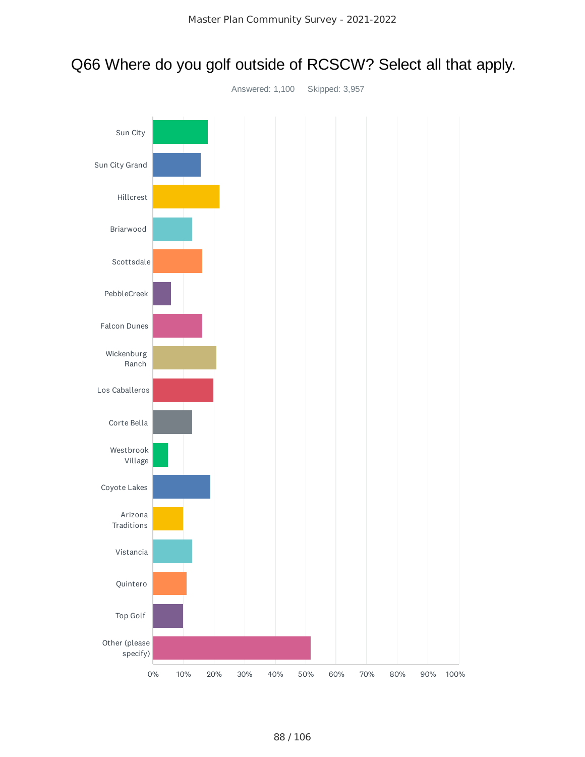## Q66 Where do you golf outside of RCSCW? Select all that apply.

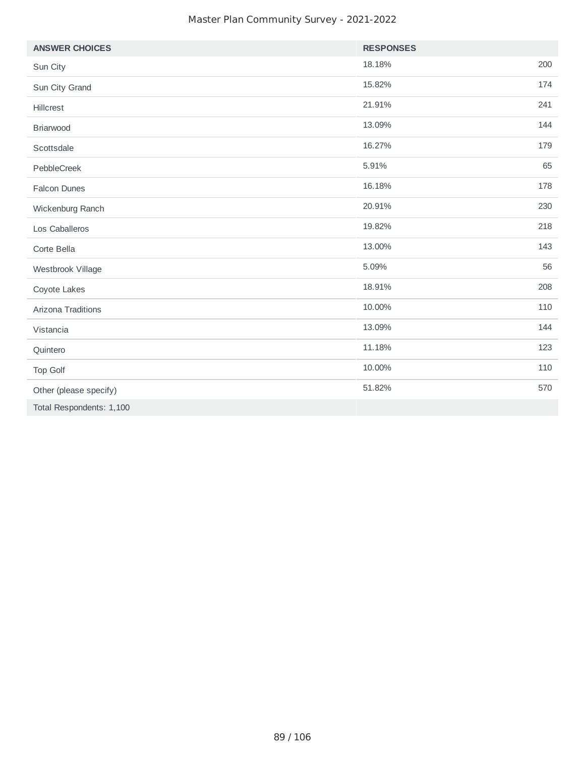#### Master Plan Community Survey - 2021-2022

| <b>ANSWER CHOICES</b>    | <b>RESPONSES</b> |     |
|--------------------------|------------------|-----|
| Sun City                 | 18.18%           | 200 |
| Sun City Grand           | 15.82%           | 174 |
| Hillcrest                | 21.91%           | 241 |
| <b>Briarwood</b>         | 13.09%           | 144 |
| Scottsdale               | 16.27%           | 179 |
| PebbleCreek              | 5.91%            | 65  |
| Falcon Dunes             | 16.18%           | 178 |
| Wickenburg Ranch         | 20.91%           | 230 |
| Los Caballeros           | 19.82%           | 218 |
| Corte Bella              | 13.00%           | 143 |
| Westbrook Village        | 5.09%            | 56  |
| Coyote Lakes             | 18.91%           | 208 |
| Arizona Traditions       | 10.00%           | 110 |
| Vistancia                | 13.09%           | 144 |
| Quintero                 | 11.18%           | 123 |
| <b>Top Golf</b>          | 10.00%           | 110 |
| Other (please specify)   | 51.82%           | 570 |
| Total Respondents: 1,100 |                  |     |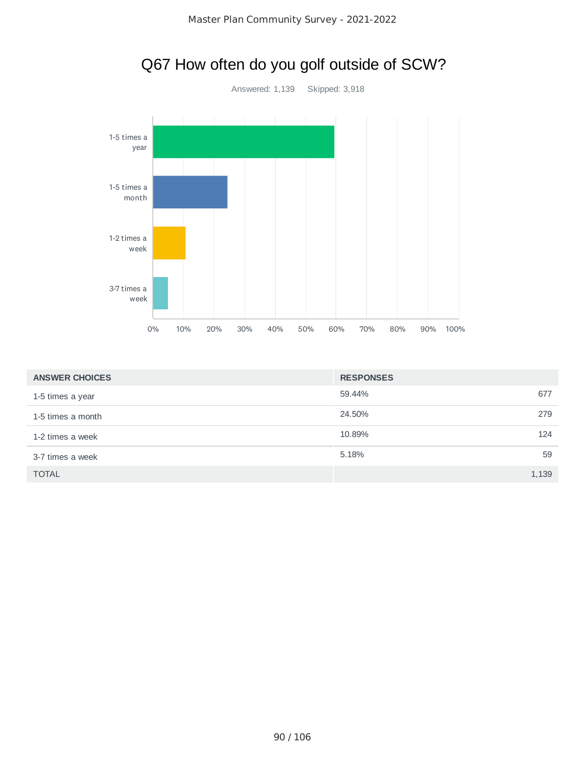

| <b>ANSWER CHOICES</b> | <b>RESPONSES</b> |       |
|-----------------------|------------------|-------|
| 1-5 times a year      | 59.44%           | 677   |
| 1-5 times a month     | 24.50%           | 279   |
| 1-2 times a week      | 10.89%           | 124   |
| 3-7 times a week      | 5.18%            | 59    |
| <b>TOTAL</b>          |                  | 1,139 |

## Q67 How often do you golf outside of SCW?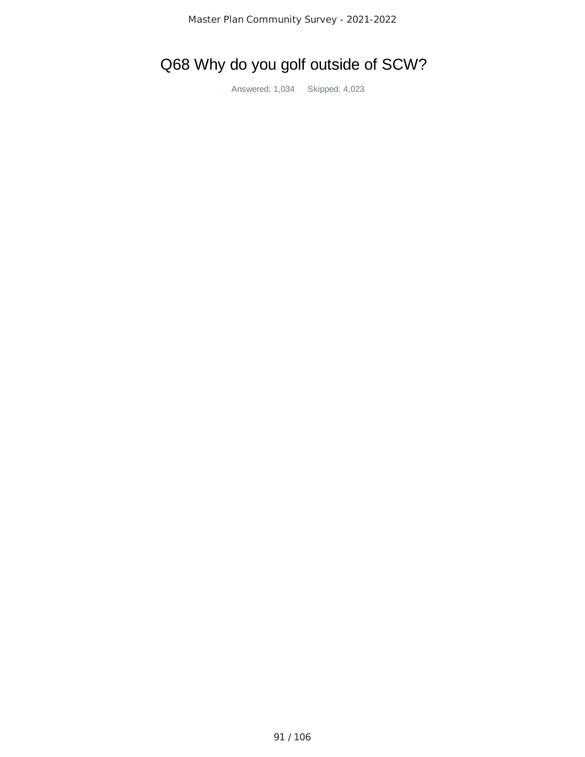Master Plan Community Survey - 2021-2022

## Q68 Why do you golf outside of SCW?

Answered: 1,034 Skipped: 4,023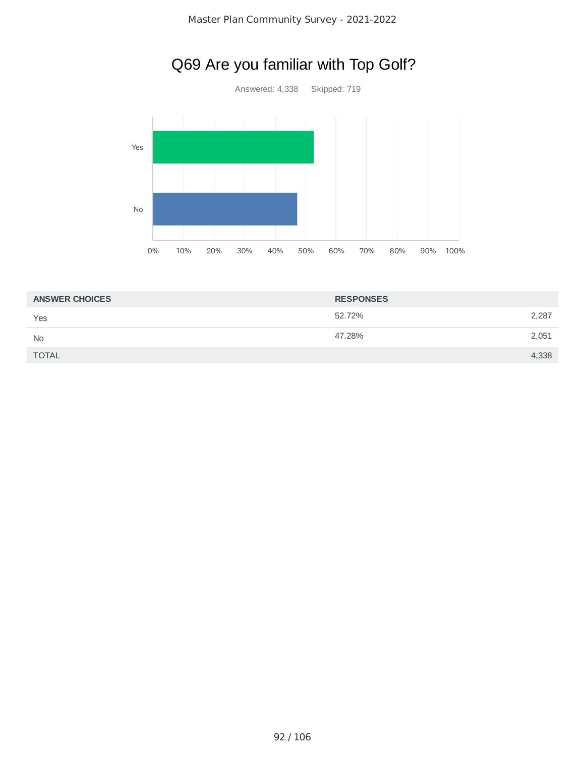

## Q69 Are you familiar with Top Golf?

| <b>ANSWER CHOICES</b> | <b>RESPONSES</b> |       |
|-----------------------|------------------|-------|
| Yes                   | 52.72%           | 2,287 |
| <b>No</b>             | 47.28%           | 2,051 |
| <b>TOTAL</b>          |                  | 4,338 |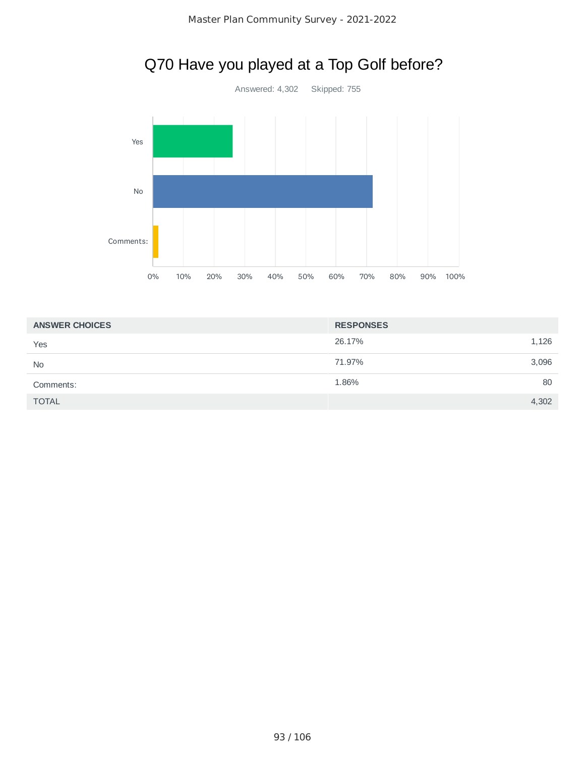

## Q70 Have you played at a Top Golf before?

| <b>ANSWER CHOICES</b> | <b>RESPONSES</b> |       |
|-----------------------|------------------|-------|
| Yes                   | 26.17%           | 1,126 |
| <b>No</b>             | 71.97%           | 3,096 |
| Comments:             | 1.86%            | 80    |
| <b>TOTAL</b>          |                  | 4,302 |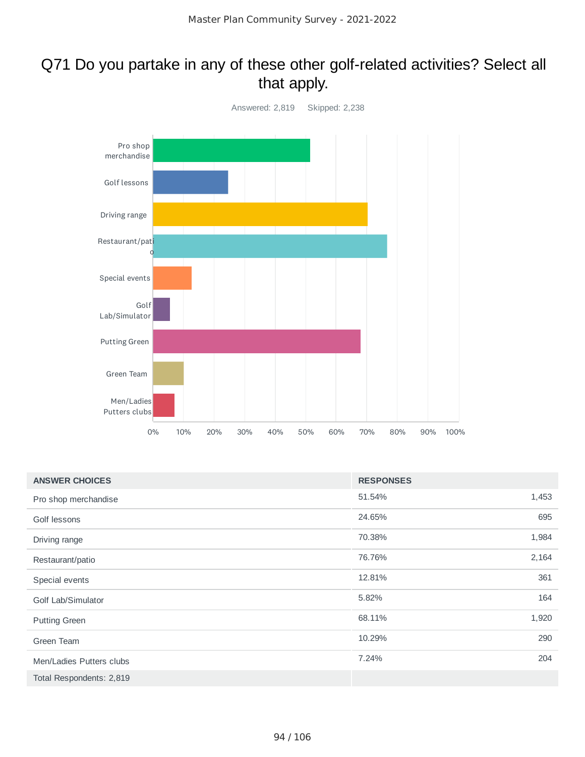## Q71 Do you partake in any of these other golf-related activities? Select all that apply.



| <b>ANSWER CHOICES</b>    | <b>RESPONSES</b> |       |
|--------------------------|------------------|-------|
| Pro shop merchandise     | 51.54%           | 1,453 |
| Golf lessons             | 24.65%           | 695   |
| Driving range            | 70.38%           | 1,984 |
| Restaurant/patio         | 76.76%           | 2,164 |
| Special events           | 12.81%           | 361   |
| Golf Lab/Simulator       | 5.82%            | 164   |
| <b>Putting Green</b>     | 68.11%           | 1,920 |
| Green Team               | 10.29%           | 290   |
| Men/Ladies Putters clubs | 7.24%            | 204   |
| Total Respondents: 2,819 |                  |       |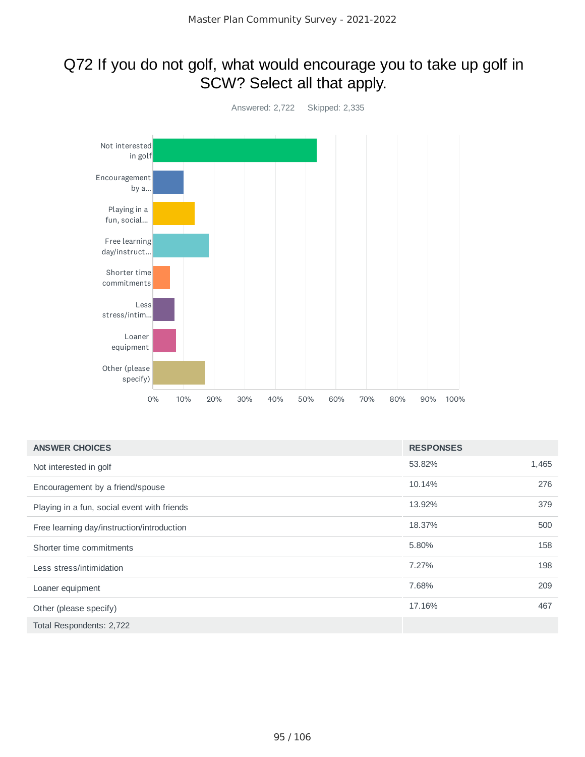## Q72 If you do not golf, what would encourage you to take up golf in SCW? Select all that apply.



| <b>ANSWER CHOICES</b>                       | <b>RESPONSES</b> |       |
|---------------------------------------------|------------------|-------|
| Not interested in golf                      | 53.82%           | 1,465 |
| Encouragement by a friend/spouse            | 10.14%           | 276   |
| Playing in a fun, social event with friends | 13.92%           | 379   |
| Free learning day/instruction/introduction  | 18.37%           | 500   |
| Shorter time commitments                    | 5.80%            | 158   |
| Less stress/intimidation                    | 7.27%            | 198   |
| Loaner equipment                            | 7.68%            | 209   |
| Other (please specify)                      | 17.16%           | 467   |
| Total Respondents: 2,722                    |                  |       |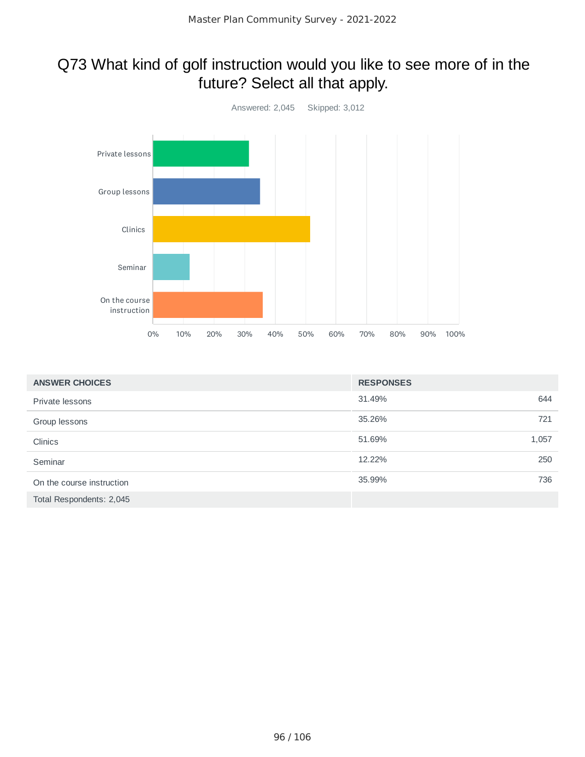## Q73 What kind of golf instruction would you like to see more of in the future? Select all that apply.



| <b>ANSWER CHOICES</b>     | <b>RESPONSES</b> |       |
|---------------------------|------------------|-------|
| Private lessons           | 31.49%           | 644   |
| Group lessons             | 35.26%           | 721   |
| <b>Clinics</b>            | 51.69%           | 1,057 |
| Seminar                   | 12.22%           | 250   |
| On the course instruction | 35.99%           | 736   |
| Total Respondents: 2,045  |                  |       |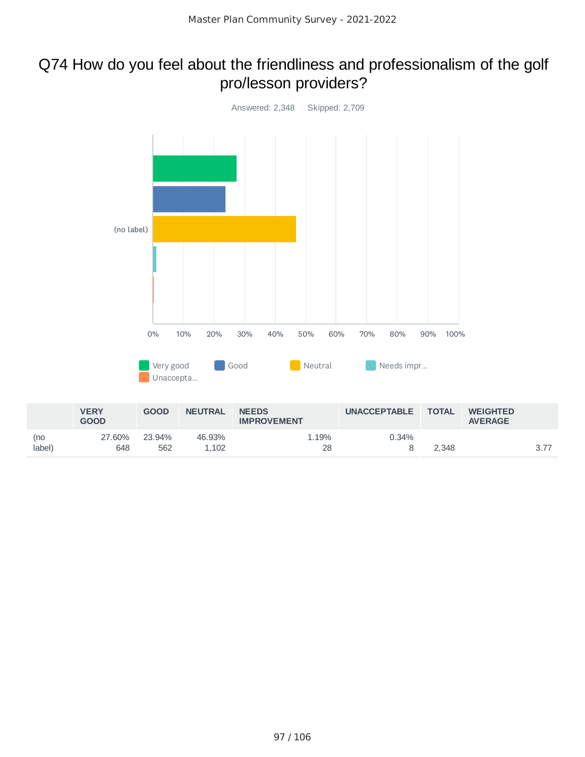## Q74 How do you feel about the friendliness and professionalism of the golf pro/lesson providers?



|               | <b>VERY</b><br><b>GOOD</b> | <b>GOOD</b>   | <b>NEUTRAL</b>  | <b>NEEDS</b><br><b>IMPROVEMENT</b> | <b>UNACCEPTABLE</b> | <b>TOTAL</b> | <b>WEIGHTED</b><br><b>AVERAGE</b> |      |
|---------------|----------------------------|---------------|-----------------|------------------------------------|---------------------|--------------|-----------------------------------|------|
| (no<br>label) | 27.60%<br>648              | 23.94%<br>562 | 46.93%<br>1.102 | 1.19%<br>28                        | 0.34%               | 2.348        |                                   | 3.77 |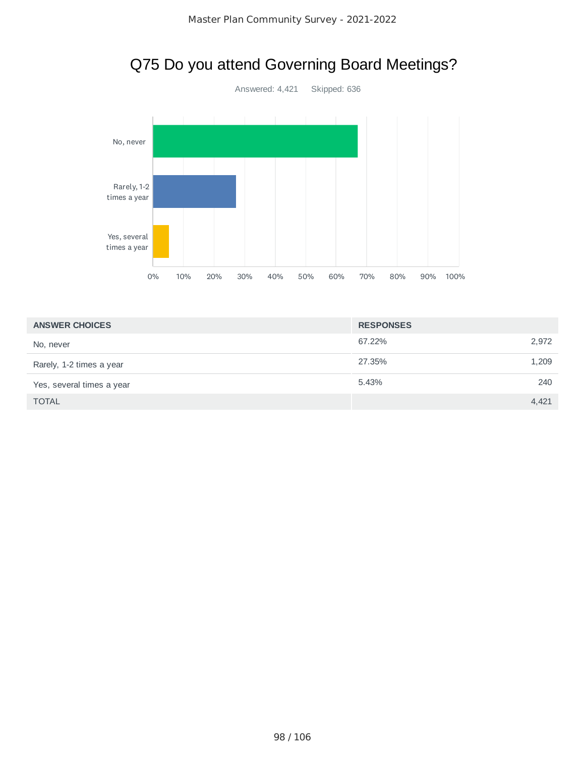# Q75 Do you attend Governing Board Meetings? Answered: 4,421 Skipped: 636 0% 10% 20% 30% 40% 50% 60% 70% 80% 90% 100% No, never Rarely, 1-2 times a year Yes, several times a year

| <b>ANSWER CHOICES</b>     | <b>RESPONSES</b> |
|---------------------------|------------------|
| No, never                 | 67.22%<br>2,972  |
| Rarely, 1-2 times a year  | 1,209<br>27.35%  |
| Yes, several times a year | 240<br>5.43%     |
| <b>TOTAL</b>              | 4,421            |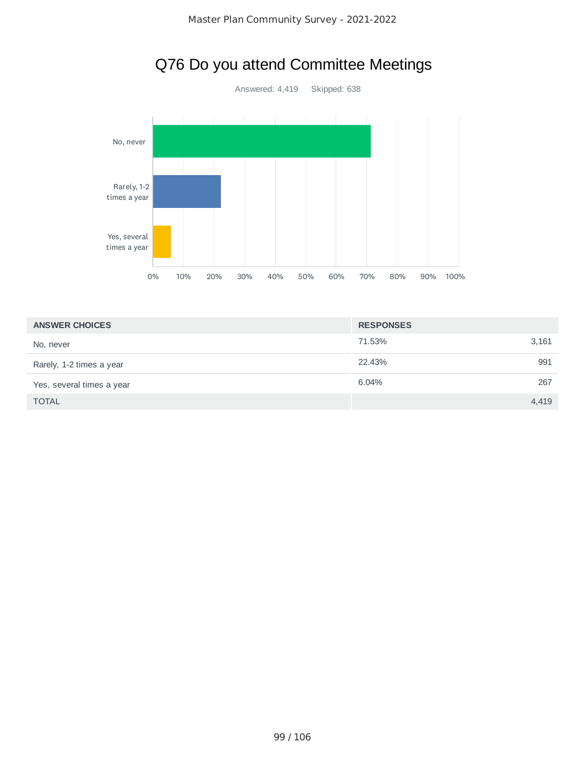

## Q76 Do you attend Committee Meetings

| <b>ANSWER CHOICES</b>     | <b>RESPONSES</b> |     |
|---------------------------|------------------|-----|
| No, never                 | 3,161<br>71.53%  |     |
| Rarely, 1-2 times a year  | 22.43%           | 991 |
| Yes, several times a year | 6.04%            | 267 |
| <b>TOTAL</b>              | 4,419            |     |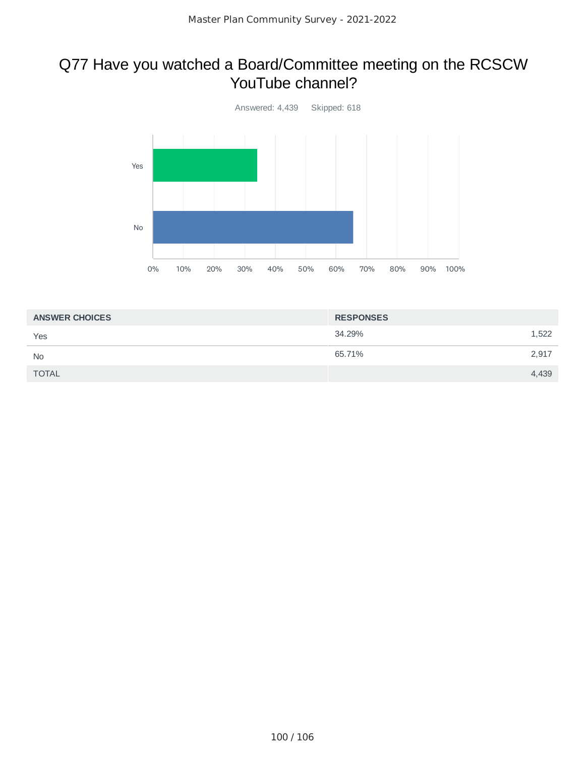#### Q77 Have you watched a Board/Committee meeting on the RCSCW YouTube channel?



| <b>ANSWER CHOICES</b> | <b>RESPONSES</b> |       |
|-----------------------|------------------|-------|
| Yes                   | 34.29%           | 1,522 |
| <b>No</b>             | 65.71%           | 2,917 |
| <b>TOTAL</b>          |                  | 4,439 |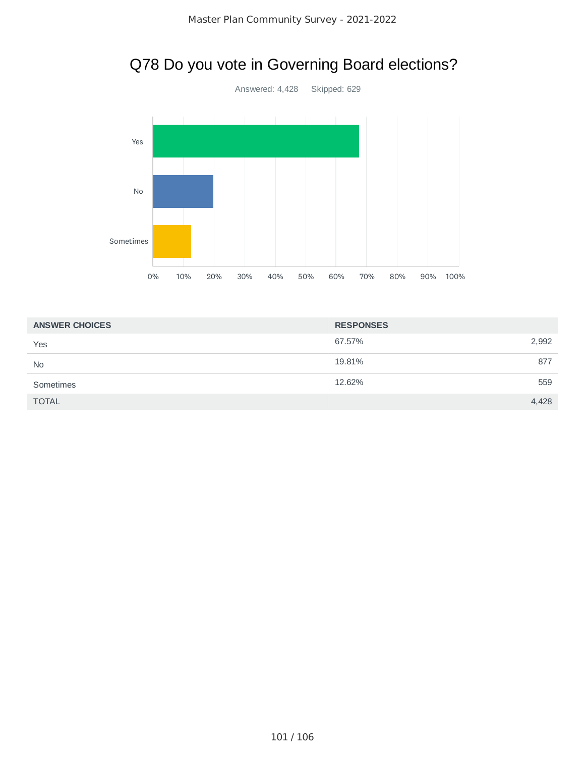## Q78 Do you vote in Governing Board elections?



| <b>ANSWER CHOICES</b> | <b>RESPONSES</b> |
|-----------------------|------------------|
| Yes                   | 2,992<br>67.57%  |
| <b>No</b>             | 19.81%<br>877    |
| Sometimes             | 12.62%<br>559    |
| <b>TOTAL</b>          | 4,428            |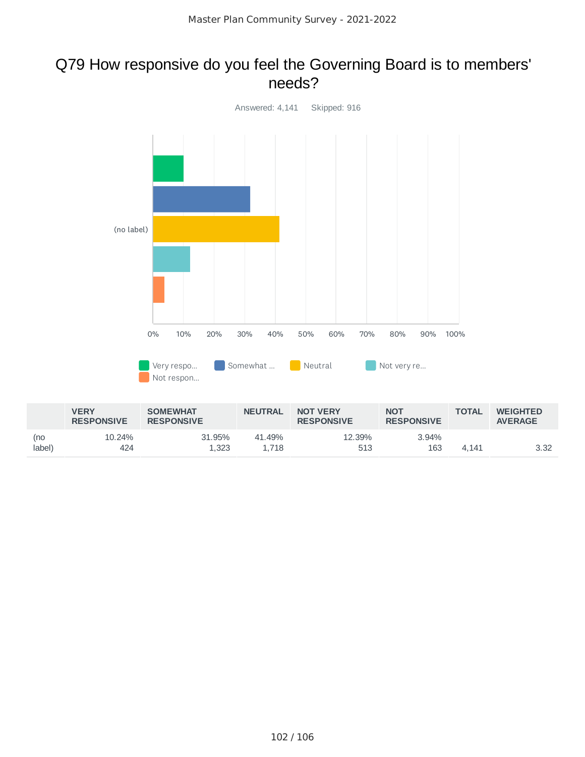## Q79 How responsive do you feel the Governing Board is to members' needs?



|               | <b>VERY</b><br><b>RESPONSIVE</b> | <b>SOMEWHAT</b><br><b>RESPONSIVE</b> | <b>NEUTRAL</b>  | <b>NOT VERY</b><br><b>RESPONSIVE</b> | <b>NOT</b><br><b>RESPONSIVE</b> | <b>TOTAL</b> | <b>WEIGHTED</b><br><b>AVERAGE</b> |
|---------------|----------------------------------|--------------------------------------|-----------------|--------------------------------------|---------------------------------|--------------|-----------------------------------|
| (no<br>label) | 10.24%<br>424                    | 31.95%<br>1.323                      | 41.49%<br>1.718 | 12.39%<br>513                        | $3.94\%$<br>163                 | 4.141        | 3.32                              |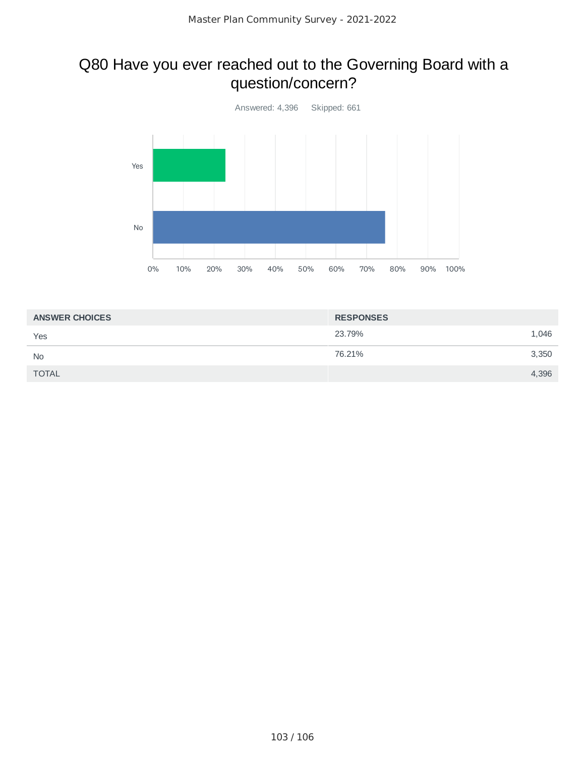## Q80 Have you ever reached out to the Governing Board with a question/concern?



| <b>ANSWER CHOICES</b> | <b>RESPONSES</b> |       |
|-----------------------|------------------|-------|
| Yes                   | 23.79%           | 1,046 |
| <b>No</b>             | 76.21%           | 3,350 |
| <b>TOTAL</b>          |                  | 4,396 |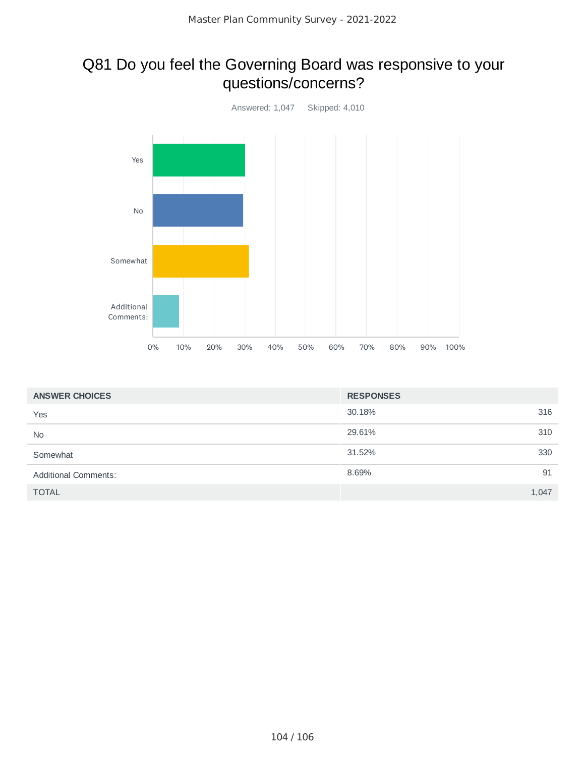## Q81 Do you feel the Governing Board was responsive to your questions/concerns?



| <b>ANSWER CHOICES</b>       | <b>RESPONSES</b> |       |
|-----------------------------|------------------|-------|
| Yes                         | 30.18%           | 316   |
| <b>No</b>                   | 29.61%           | 310   |
| Somewhat                    | 31.52%           | 330   |
| <b>Additional Comments:</b> | 8.69%            | 91    |
| <b>TOTAL</b>                |                  | 1,047 |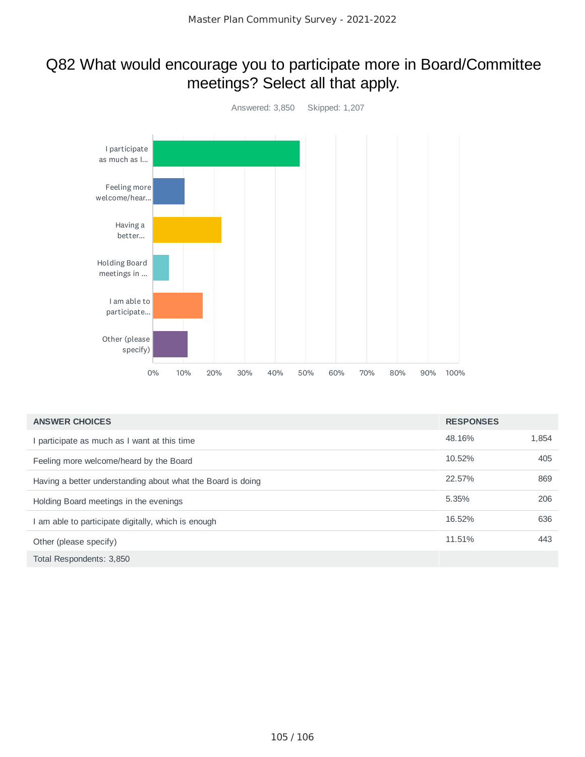## Q82 What would encourage you to participate more in Board/Committee meetings? Select all that apply.



| <b>ANSWER CHOICES</b>                                       | <b>RESPONSES</b> |       |
|-------------------------------------------------------------|------------------|-------|
| I participate as much as I want at this time                | 48.16%           | 1,854 |
| Feeling more welcome/heard by the Board                     | 10.52%           | 405   |
| Having a better understanding about what the Board is doing | 22.57%           | 869   |
| Holding Board meetings in the evenings                      | 5.35%            | 206   |
| am able to participate digitally, which is enough           | 16.52%           | 636   |
| Other (please specify)                                      | 11.51%           | 443   |
| Total Respondents: 3,850                                    |                  |       |